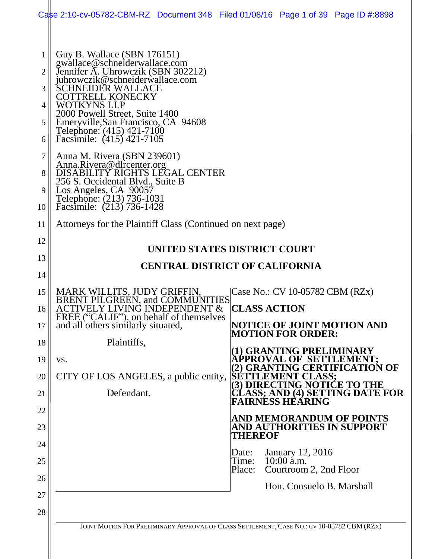|                            | Case 2:10-cv-05782-CBM-RZ Document 348 Filed 01/08/16 Page 1 of 39 Page ID #:8898                                                                                                                                                                                                                                                      |                     |                                        |                                                                                      |
|----------------------------|----------------------------------------------------------------------------------------------------------------------------------------------------------------------------------------------------------------------------------------------------------------------------------------------------------------------------------------|---------------------|----------------------------------------|--------------------------------------------------------------------------------------|
| 1<br>2<br>3<br>4<br>5<br>6 | Guy B. Wallace (SBN 176151)<br>gwallace@schneiderwallace.com<br>Jennifer A. Uhrowczik (SBN 302212)<br>juhrowczik@schneiderwallace.com<br>CHNEIDER WALLACE<br><b>COTTRELL KONECKY</b><br>WOTKYNS LLP<br>2000 Powell Street, Suite 1400<br>Emeryville, San Francisco, CA 94608<br>Telephone: (415) 421-7100<br>Facsimile: (415) 421-7105 |                     |                                        |                                                                                      |
| 7<br>8<br>9<br>10          | Anna M. Rivera (SBN 239601)<br>Anna.Rivera@dlrcenter.org<br>DISABILITY RIGHTS LEGAL CENTER<br>256 S. Occidental Blvd., Suite B<br>Los Angeles, CA 90057<br>Telephone: (213) 736-1031<br>Facsimile: (213) 736-1428                                                                                                                      |                     |                                        |                                                                                      |
| 11                         | Attorneys for the Plaintiff Class (Continued on next page)                                                                                                                                                                                                                                                                             |                     |                                        |                                                                                      |
| 12                         | UNITED STATES DISTRICT COURT                                                                                                                                                                                                                                                                                                           |                     |                                        |                                                                                      |
| 13                         | <b>CENTRAL DISTRICT OF CALIFORNIA</b>                                                                                                                                                                                                                                                                                                  |                     |                                        |                                                                                      |
| 14                         |                                                                                                                                                                                                                                                                                                                                        |                     |                                        |                                                                                      |
| 15<br>16                   | MARK WILLITS, JUDY GRIFFIN,<br><b>BRENT PILGREEN, and COMMUNITIES</b><br><b>ACTIVELY LIVING INDEPENDENT &amp;</b>                                                                                                                                                                                                                      | <b>CLASS ACTION</b> | Case No.: CV 10-05782 CBM (RZx)        |                                                                                      |
| 17                         | FREE ("CALIF"), on behalf of themselves<br>and all others similarly situated,                                                                                                                                                                                                                                                          |                     | <b>MOTION FOR ORDER:</b>               | NOTICE OF JOINT MOTION AND                                                           |
| 18                         | Plaintiffs,                                                                                                                                                                                                                                                                                                                            |                     |                                        |                                                                                      |
| 19                         | VS.                                                                                                                                                                                                                                                                                                                                    |                     |                                        | (1) GRANTING PRELIMINARY<br>APPROVAL OF SETTLEMENT;<br>(2) GRANTING CERTIFICATION OF |
| 20                         | CITY OF LOS ANGELES, a public entity, SETTLEMENT CLASS;                                                                                                                                                                                                                                                                                |                     | (3) DIRECTING NOTICE TO THE            |                                                                                      |
| 21                         | Defendant.                                                                                                                                                                                                                                                                                                                             |                     | <b>FAIRNÉSS HEÁRING</b>                | CLASS; AND (4) SETTING DATE FOR                                                      |
| 22                         |                                                                                                                                                                                                                                                                                                                                        |                     |                                        | <b>AND MEMORANDUM OF POINTS</b>                                                      |
| 23                         |                                                                                                                                                                                                                                                                                                                                        | THEREOF             |                                        | <b>AND AUTHORITIES IN SUPPORT</b>                                                    |
| 24                         |                                                                                                                                                                                                                                                                                                                                        | Date:               | <b>January 12, 2016</b>                |                                                                                      |
| 25                         |                                                                                                                                                                                                                                                                                                                                        | Time:<br>Place:     | $10:00$ a.m.<br>Courtroom 2, 2nd Floor |                                                                                      |
| 26                         |                                                                                                                                                                                                                                                                                                                                        |                     | Hon. Consuelo B. Marshall              |                                                                                      |
| 27<br>28                   |                                                                                                                                                                                                                                                                                                                                        |                     |                                        |                                                                                      |
|                            | JOINT MOTION FOR PRELIMINARY APPROVAL OF CLASS SETTLEMENT, CASE NO.: CV 10-05782 CBM (RZX)                                                                                                                                                                                                                                             |                     |                                        |                                                                                      |
|                            |                                                                                                                                                                                                                                                                                                                                        |                     |                                        |                                                                                      |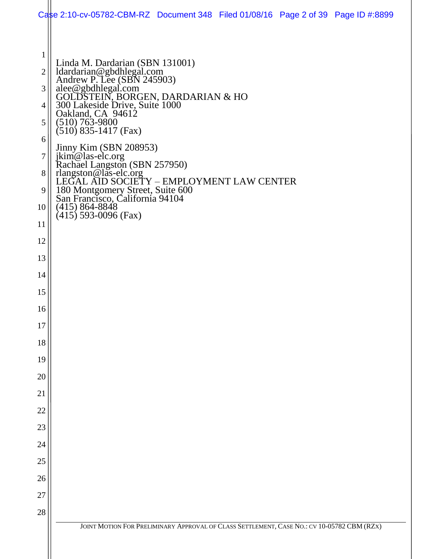|                     | Case 2:10-cv-05782-CBM-RZ Document 348 Filed 01/08/16 Page 2 of 39 Page ID #:8899                                                                         |
|---------------------|-----------------------------------------------------------------------------------------------------------------------------------------------------------|
|                     |                                                                                                                                                           |
| $\mathbf{1}$        | Linda M. Dardarian (SBN 131001)                                                                                                                           |
| $\overline{2}$<br>3 | ldardarian@gbdhlegal.com<br>Andrew P. Lee (SBN 245903)                                                                                                    |
| 4                   |                                                                                                                                                           |
| 5                   | alee @gbdhlegal.com<br>GOLDSTEIN, BORGEN, DARDARIAN & HO<br>300 Lakeside Drive, Suite 1000<br>Oakland, CA 94612<br>(510) 763-9800<br>(510) 835-1417 (Fer) |
| 6                   | $(510)$ 835-1417 (Fax)                                                                                                                                    |
| 7                   | Jinny Kim (SBN 208953)                                                                                                                                    |
| 8                   | ikim@las-elc.org<br>Rachael Langston (SBN 257950)<br>rlangston@las-elc.org<br>LEGAL AID SOCIETY – EMPLOYMENT LAW CENTER                                   |
| 9                   | 180 Montgomery Street, Suite 600<br>San Francisco, California 94104<br>(415) 864-8848                                                                     |
| 10                  | $(415)$ 593-0096 (Fax)                                                                                                                                    |
| 11                  |                                                                                                                                                           |
| 12                  |                                                                                                                                                           |
| 13                  |                                                                                                                                                           |
| 14                  |                                                                                                                                                           |
| 15                  |                                                                                                                                                           |
| 16                  |                                                                                                                                                           |
| 17<br>18            |                                                                                                                                                           |
| 19                  |                                                                                                                                                           |
| 20                  |                                                                                                                                                           |
| 21                  |                                                                                                                                                           |
| 22                  |                                                                                                                                                           |
| 23                  |                                                                                                                                                           |
| 24                  |                                                                                                                                                           |
| 25                  |                                                                                                                                                           |
| 26                  |                                                                                                                                                           |
| 27                  |                                                                                                                                                           |
| 28                  |                                                                                                                                                           |
|                     | JOINT MOTION FOR PRELIMINARY APPROVAL OF CLASS SETTLEMENT, CASE NO.: CV 10-05782 CBM (RZX)                                                                |
|                     |                                                                                                                                                           |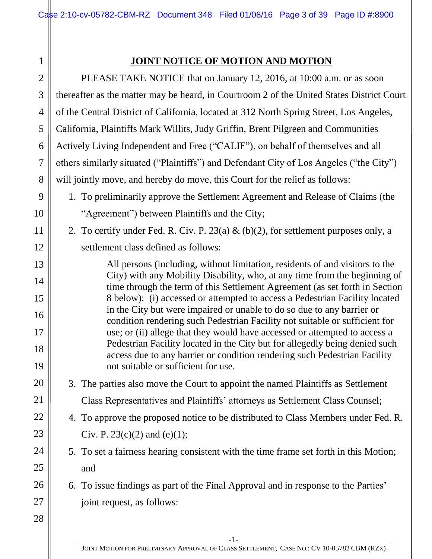# 1

#### **JOINT NOTICE OF MOTION AND MOTION**

| $\sqrt{2}$     | PLEASE TAKE NOTICE that on January 12, 2016, at 10:00 a.m. or as soon                                                                                     |
|----------------|-----------------------------------------------------------------------------------------------------------------------------------------------------------|
| 3              | thereafter as the matter may be heard, in Courtroom 2 of the United States District Court                                                                 |
| $\overline{4}$ | of the Central District of California, located at 312 North Spring Street, Los Angeles,                                                                   |
| $\mathfrak{S}$ | California, Plaintiffs Mark Willits, Judy Griffin, Brent Pilgreen and Communities                                                                         |
| 6              | Actively Living Independent and Free ("CALIF"), on behalf of themselves and all                                                                           |
| $\tau$         | others similarly situated ("Plaintiffs") and Defendant City of Los Angeles ("the City")                                                                   |
| 8              | will jointly move, and hereby do move, this Court for the relief as follows:                                                                              |
| 9              | 1. To preliminarily approve the Settlement Agreement and Release of Claims (the                                                                           |
| 10             | "Agreement") between Plaintiffs and the City;                                                                                                             |
| 11             | 2. To certify under Fed. R. Civ. P. 23(a) & (b)(2), for settlement purposes only, a                                                                       |
| 12             | settlement class defined as follows:                                                                                                                      |
| 13             | All persons (including, without limitation, residents of and visitors to the                                                                              |
| 14             | City) with any Mobility Disability, who, at any time from the beginning of<br>time through the term of this Settlement Agreement (as set forth in Section |
| 15             | 8 below): (i) accessed or attempted to access a Pedestrian Facility located                                                                               |
| 16             | in the City but were impaired or unable to do so due to any barrier or<br>condition rendering such Pedestrian Facility not suitable or sufficient for     |
| 17             | use; or (ii) allege that they would have accessed or attempted to access a                                                                                |
| 18             | Pedestrian Facility located in the City but for allegedly being denied such<br>access due to any barrier or condition rendering such Pedestrian Facility  |
| 19             | not suitable or sufficient for use.                                                                                                                       |
| 20             | 3. The parties also move the Court to appoint the named Plaintiffs as Settlement                                                                          |
| 21             | Class Representatives and Plaintiffs' attorneys as Settlement Class Counsel;                                                                              |
| 22             | 4. To approve the proposed notice to be distributed to Class Members under Fed. R.                                                                        |
| 23             | Civ. P. 23(c)(2) and (e)(1);                                                                                                                              |
| 24             | 5. To set a fairness hearing consistent with the time frame set forth in this Motion;                                                                     |
| 25             | and                                                                                                                                                       |
| 26             | 6. To issue findings as part of the Final Approval and in response to the Parties'                                                                        |
| 27             | joint request, as follows:                                                                                                                                |
| 28             |                                                                                                                                                           |
|                |                                                                                                                                                           |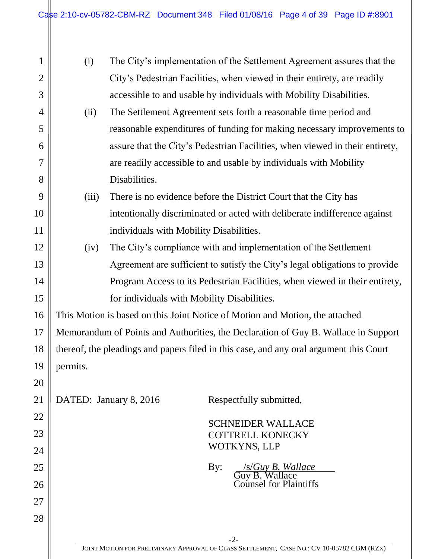| $\mathbf{1}$   | (i)      |                                             | The City's implementation of the Settlement Agreement assures that the                 |
|----------------|----------|---------------------------------------------|----------------------------------------------------------------------------------------|
| $\overline{2}$ |          |                                             | City's Pedestrian Facilities, when viewed in their entirety, are readily               |
| 3              |          |                                             | accessible to and usable by individuals with Mobility Disabilities.                    |
| $\overline{4}$ | (ii)     |                                             | The Settlement Agreement sets forth a reasonable time period and                       |
| 5              |          |                                             | reasonable expenditures of funding for making necessary improvements to                |
| 6              |          |                                             | assure that the City's Pedestrian Facilities, when viewed in their entirety,           |
| 7              |          |                                             | are readily accessible to and usable by individuals with Mobility                      |
| 8              |          | Disabilities.                               |                                                                                        |
| 9              | (iii)    |                                             | There is no evidence before the District Court that the City has                       |
| 10             |          |                                             | intentionally discriminated or acted with deliberate indifference against              |
| 11             |          | individuals with Mobility Disabilities.     |                                                                                        |
| 12             | (iv)     |                                             | The City's compliance with and implementation of the Settlement                        |
| 13             |          |                                             | Agreement are sufficient to satisfy the City's legal obligations to provide            |
| 14             |          |                                             | Program Access to its Pedestrian Facilities, when viewed in their entirety,            |
| 15             |          | for individuals with Mobility Disabilities. |                                                                                        |
| 16             |          |                                             | This Motion is based on this Joint Notice of Motion and Motion, the attached           |
| 17             |          |                                             | Memorandum of Points and Authorities, the Declaration of Guy B. Wallace in Support     |
| 18             |          |                                             | thereof, the pleadings and papers filed in this case, and any oral argument this Court |
| 19             | permits. |                                             |                                                                                        |
| 20             |          |                                             |                                                                                        |
| 21             |          | DATED: January 8, 2016                      | Respectfully submitted,                                                                |
| 22             |          |                                             | <b>SCHNEIDER WALLACE</b>                                                               |
| 23             |          |                                             | <b>COTTRELL KONECKY</b>                                                                |
| 24             |          |                                             | WOTKYNS, LLP                                                                           |
| 25             |          |                                             | <b>/s/Guy B. Wallace</b><br>By:<br>Guy B. Wallace                                      |
| 26             |          |                                             | Counsel for Plaintiffs                                                                 |
| 27             |          |                                             |                                                                                        |
| 28             |          |                                             |                                                                                        |
|                |          |                                             | $-2-$                                                                                  |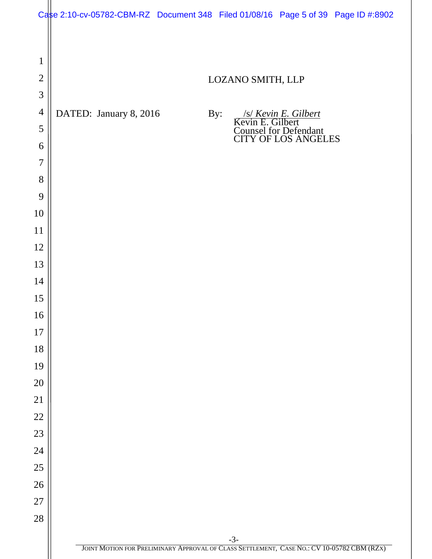|                | Case 2:10-cv-05782-CBM-RZ Document 348 Filed 01/08/16 Page 5 of 39 Page ID #:8902 |     |                                                                                                     |  |
|----------------|-----------------------------------------------------------------------------------|-----|-----------------------------------------------------------------------------------------------------|--|
|                |                                                                                   |     |                                                                                                     |  |
| $\mathbf{1}$   |                                                                                   |     |                                                                                                     |  |
| $\overline{2}$ |                                                                                   |     | LOZANO SMITH, LLP                                                                                   |  |
| $\mathfrak{Z}$ |                                                                                   |     |                                                                                                     |  |
| $\overline{4}$ | DATED: January 8, 2016                                                            | By: |                                                                                                     |  |
| 5              |                                                                                   |     | <i>S/Kevin E. Gilbert</i><br>Kevin E. Gilbert<br>Counsel for Defendant<br>CITY OF LOS ANGELES       |  |
| 6              |                                                                                   |     |                                                                                                     |  |
| $\overline{7}$ |                                                                                   |     |                                                                                                     |  |
| 8              |                                                                                   |     |                                                                                                     |  |
| 9              |                                                                                   |     |                                                                                                     |  |
| 10             |                                                                                   |     |                                                                                                     |  |
| 11             |                                                                                   |     |                                                                                                     |  |
| 12             |                                                                                   |     |                                                                                                     |  |
| 13<br>14       |                                                                                   |     |                                                                                                     |  |
| 15             |                                                                                   |     |                                                                                                     |  |
| 16             |                                                                                   |     |                                                                                                     |  |
| 17             |                                                                                   |     |                                                                                                     |  |
| 18             |                                                                                   |     |                                                                                                     |  |
| 19             |                                                                                   |     |                                                                                                     |  |
| 20             |                                                                                   |     |                                                                                                     |  |
| 21             |                                                                                   |     |                                                                                                     |  |
| $22\,$         |                                                                                   |     |                                                                                                     |  |
| 23             |                                                                                   |     |                                                                                                     |  |
| 24             |                                                                                   |     |                                                                                                     |  |
| $25\,$         |                                                                                   |     |                                                                                                     |  |
| $26\,$         |                                                                                   |     |                                                                                                     |  |
| $27\,$         |                                                                                   |     |                                                                                                     |  |
| $28\,$         |                                                                                   |     |                                                                                                     |  |
|                |                                                                                   |     | $-3-$<br>JOINT MOTION FOR PRELIMINARY APPROVAL OF CLASS SETTLEMENT, CASE NO.: CV 10-05782 CBM (RZX) |  |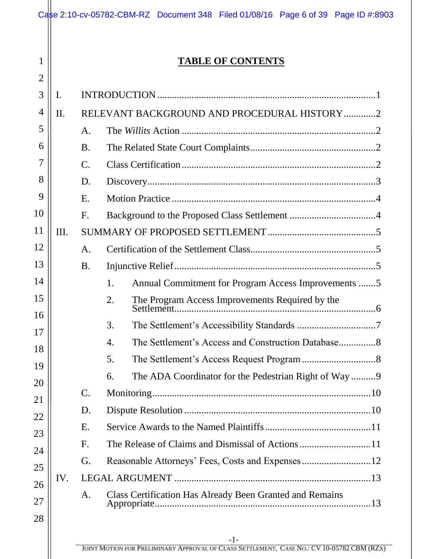|      |                 | <b>TABLE OF CONTENTS</b>                                        |
|------|-----------------|-----------------------------------------------------------------|
| I.   |                 |                                                                 |
| II.  |                 | RELEVANT BACKGROUND AND PROCEDURAL HISTORY 2                    |
|      | A.              |                                                                 |
|      | <b>B.</b>       |                                                                 |
|      | $\mathcal{C}$ . |                                                                 |
|      | D.              |                                                                 |
|      | E.              |                                                                 |
|      | F.              |                                                                 |
| III. |                 |                                                                 |
|      | A.              |                                                                 |
|      | <b>B.</b>       |                                                                 |
|      |                 | Annual Commitment for Program Access Improvements 5<br>1.       |
|      |                 | The Program Access Improvements Required by the<br>2.           |
|      |                 | 3.                                                              |
|      |                 | 4.                                                              |
|      |                 | 5.                                                              |
|      |                 | The ADA Coordinator for the Pedestrian Right of Way9<br>6.      |
|      | $\mathsf{C}.$   |                                                                 |
|      | D.              |                                                                 |
|      | Ε.              |                                                                 |
|      | F.              |                                                                 |
|      | G.              |                                                                 |
| IV.  |                 |                                                                 |
|      | A.              | <b>Class Certification Has Already Been Granted and Remains</b> |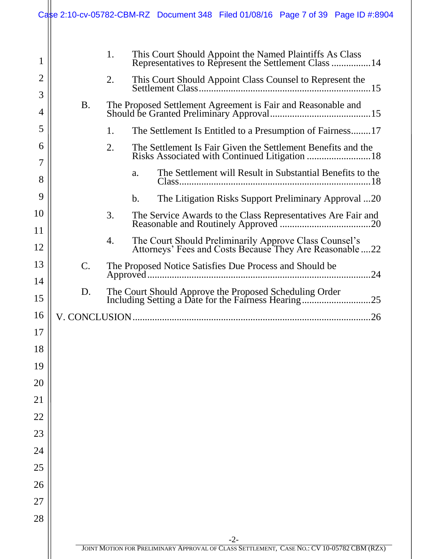|                     |                | Case 2:10-cv-05782-CBM-RZ Document 348 Filed 01/08/16 Page 7 of 39 Page ID #:8904                                        |
|---------------------|----------------|--------------------------------------------------------------------------------------------------------------------------|
| 1                   |                | 1.<br>This Court Should Appoint the Named Plaintiffs As Class<br>Representatives to Represent the Settlement Class 14    |
| $\overline{2}$<br>3 |                | 2.                                                                                                                       |
| 4                   | <b>B.</b>      |                                                                                                                          |
| 5                   |                | 1.<br>The Settlement Is Entitled to a Presumption of Fairness17                                                          |
| 6<br>7              |                | 2.<br>The Settlement Is Fair Given the Settlement Benefits and the                                                       |
| 8                   |                | The Settlement will Result in Substantial Benefits to the<br>a.                                                          |
| 9                   |                | The Litigation Risks Support Preliminary Approval 20<br>$\mathbf b$ .                                                    |
| 10<br>11            |                | 3.<br>The Service Awards to the Class Representatives Are Fair and                                                       |
| 12                  |                | 4.<br>The Court Should Preliminarily Approve Class Counsel's<br>Attorneys' Fees and Costs Because They Are Reasonable 22 |
| 13                  | $\mathsf{C}.$  | The Proposed Notice Satisfies Due Process and Should be                                                                  |
| 14                  |                | .24                                                                                                                      |
| 15                  | D.             |                                                                                                                          |
| 16                  | V. CONCLUSION. | 26                                                                                                                       |
| 17                  |                |                                                                                                                          |
| 18                  |                |                                                                                                                          |
| 19                  |                |                                                                                                                          |
| 20                  |                |                                                                                                                          |
| 21                  |                |                                                                                                                          |
| 22                  |                |                                                                                                                          |
| 23                  |                |                                                                                                                          |
| 24                  |                |                                                                                                                          |
| 25                  |                |                                                                                                                          |
| 26                  |                |                                                                                                                          |
| 27<br>28            |                |                                                                                                                          |
|                     |                | $-2-$                                                                                                                    |
|                     |                | JOINT MOTION FOR PRELIMINARY APPROVAL OF CLASS SETTLEMENT, CASE NO.: CV 10-05782 CBM (RZX)                               |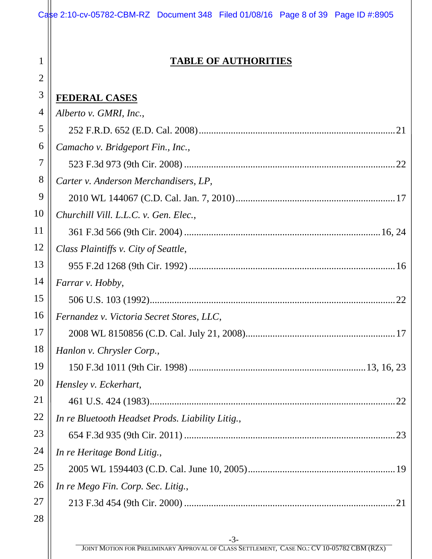| Case 2:10-cv-05782-CBM-RZ Document 348 Filed 01/08/16 Page 8 of 39 Page ID #:8905 |  |  |
|-----------------------------------------------------------------------------------|--|--|

1

2

#### **TABLE OF AUTHORITIES**

| 3  | <b>FEDERAL CASES</b>                             |
|----|--------------------------------------------------|
| 4  | Alberto v. GMRI, Inc.,                           |
| 5  |                                                  |
| 6  | Camacho v. Bridgeport Fin., Inc.,                |
| 7  |                                                  |
| 8  | Carter v. Anderson Merchandisers, LP,            |
| 9  |                                                  |
| 10 | Churchill Vill. L.L.C. v. Gen. Elec.,            |
| 11 |                                                  |
| 12 | Class Plaintiffs v. City of Seattle,             |
| 13 |                                                  |
| 14 | Farrar v. Hobby,                                 |
| 15 |                                                  |
| 16 | Fernandez v. Victoria Secret Stores, LLC,        |
| 17 |                                                  |
| 18 | Hanlon v. Chrysler Corp.,                        |
| 19 |                                                  |
| 20 | Hensley v. Eckerhart,                            |
| 21 | 22                                               |
| 22 | In re Bluetooth Headset Prods. Liability Litig., |
| 23 |                                                  |
| 24 | In re Heritage Bond Litig.,                      |
| 25 |                                                  |
| 26 | In re Mego Fin. Corp. Sec. Litig.,               |
| 27 |                                                  |
| 28 |                                                  |
|    |                                                  |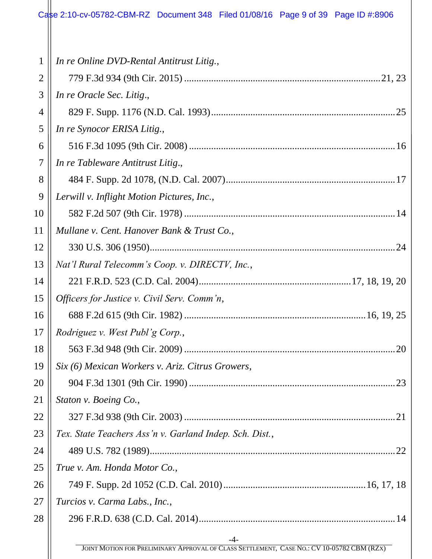#### Case 2:10-cv-05782-CBM-RZ Document 348 Filed 01/08/16 Page 9 of 39 Page ID #:8906

| $\mathbf{1}$ | In re Online DVD-Rental Antitrust Litig.,                                                  |
|--------------|--------------------------------------------------------------------------------------------|
| 2            |                                                                                            |
| 3            | In re Oracle Sec. Litig.,                                                                  |
| 4            |                                                                                            |
| 5            | In re Synocor ERISA Litig.,                                                                |
| 6            |                                                                                            |
| 7            | In re Tableware Antitrust Litig.,                                                          |
| 8            |                                                                                            |
| 9            | Lerwill v. Inflight Motion Pictures, Inc.,                                                 |
| 10           |                                                                                            |
| 11           | Mullane v. Cent. Hanover Bank & Trust Co.,                                                 |
| 12           |                                                                                            |
| 13           | Nat'l Rural Telecomm's Coop. v. DIRECTV, Inc.,                                             |
| 14           |                                                                                            |
| 15           | Officers for Justice v. Civil Serv. Comm'n,                                                |
| 16           |                                                                                            |
| 17           | Rodriguez v. West Publ'g Corp.,                                                            |
| 18           | 20                                                                                         |
| 19           | Six (6) Mexican Workers v. Ariz. Citrus Growers,                                           |
| 20           |                                                                                            |
| 21           | Staton v. Boeing Co.,                                                                      |
| 22           |                                                                                            |
| 23           | Tex. State Teachers Ass'n v. Garland Indep. Sch. Dist.,                                    |
| 24           |                                                                                            |
| 25           | True v. Am. Honda Motor Co.,                                                               |
| 26           |                                                                                            |
| 27           | Turcios v. Carma Labs., Inc.,                                                              |
| 28           |                                                                                            |
|              | $-4-$                                                                                      |
|              | JOINT MOTION FOR PRELIMINARY APPROVAL OF CLASS SETTLEMENT, CASE NO.: CV 10-05782 CBM (RZX) |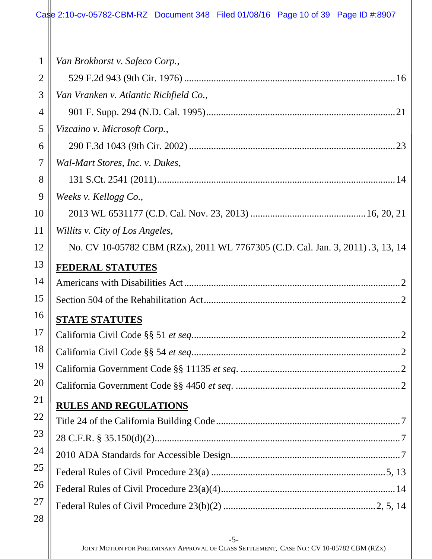#### Case 2:10-cv-05782-CBM-RZ Document 348 Filed 01/08/16 Page 10 of 39 Page ID #:8907

| $\mathbf{1}$   | Van Brokhorst v. Safeco Corp.,                                                |
|----------------|-------------------------------------------------------------------------------|
| $\overline{2}$ |                                                                               |
| 3              | Van Vranken v. Atlantic Richfield Co.,                                        |
| 4              |                                                                               |
| 5              | Vizcaino v. Microsoft Corp.,                                                  |
| 6              |                                                                               |
| 7              | Wal-Mart Stores, Inc. v. Dukes,                                               |
| 8              |                                                                               |
| 9              | Weeks v. Kellogg Co.,                                                         |
| 10             |                                                                               |
| 11             | Willits v. City of Los Angeles,                                               |
| 12             | No. CV 10-05782 CBM (RZx), 2011 WL 7767305 (C.D. Cal. Jan. 3, 2011).3, 13, 14 |
| 13             | <b>FEDERAL STATUTES</b>                                                       |
| 14             |                                                                               |
| 15             |                                                                               |
| 16             | <b>STATE STATUTES</b>                                                         |
| 17             |                                                                               |
| 18             |                                                                               |
| 19             |                                                                               |
| 20             |                                                                               |
| 21             | <b>RULES AND REGULATIONS</b>                                                  |
| 22             |                                                                               |
| 23             |                                                                               |
| 24             |                                                                               |
| 25             |                                                                               |
| 26             |                                                                               |
| 27             |                                                                               |
| 28             |                                                                               |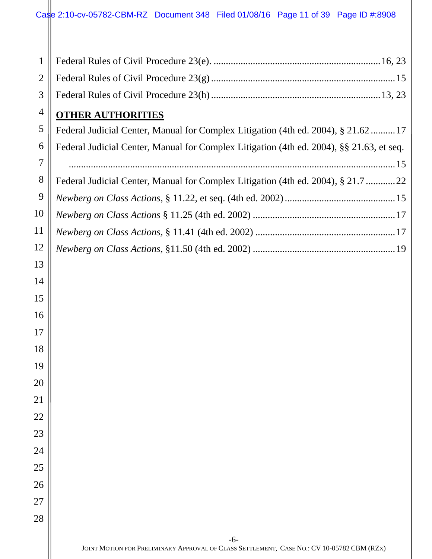| 1              |                                                                                          |
|----------------|------------------------------------------------------------------------------------------|
| $\overline{2}$ |                                                                                          |
| 3              |                                                                                          |
| $\overline{4}$ | <b>OTHER AUTHORITIES</b>                                                                 |
| 5              | Federal Judicial Center, Manual for Complex Litigation (4th ed. 2004), § 21.62  17       |
| 6              | Federal Judicial Center, Manual for Complex Litigation (4th ed. 2004), §§ 21.63, et seq. |
| $\overline{7}$ |                                                                                          |
| 8              | Federal Judicial Center, Manual for Complex Litigation (4th ed. 2004), § 21.7 22         |
| 9              |                                                                                          |
| 10             |                                                                                          |
| 11             |                                                                                          |
| 12             |                                                                                          |
| 13             |                                                                                          |
| 14             |                                                                                          |
| 15             |                                                                                          |
| 16             |                                                                                          |
| 17             |                                                                                          |
| 18             |                                                                                          |
| 19             |                                                                                          |
| 20             |                                                                                          |
| 21             |                                                                                          |
| 22             |                                                                                          |
| 23             |                                                                                          |
| 24             |                                                                                          |
| 25             |                                                                                          |
| 26             |                                                                                          |
| 27             |                                                                                          |
| 28             |                                                                                          |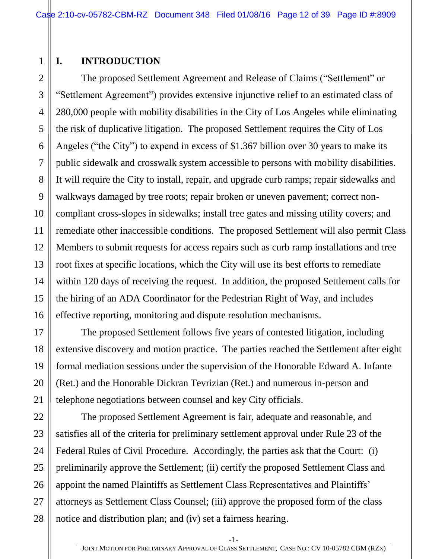#### <span id="page-11-0"></span>**I. INTRODUCTION**

2 3 4 5 The proposed Settlement Agreement and Release of Claims ("Settlement" or "Settlement Agreement") provides extensive injunctive relief to an estimated class of 280,000 people with mobility disabilities in the City of Los Angeles while eliminating the risk of duplicative litigation. The proposed Settlement requires the City of Los Angeles ("the City") to expend in excess of \$1.367 billion over 30 years to make its public sidewalk and crosswalk system accessible to persons with mobility disabilities. It will require the City to install, repair, and upgrade curb ramps; repair sidewalks and walkways damaged by tree roots; repair broken or uneven pavement; correct noncompliant cross-slopes in sidewalks; install tree gates and missing utility covers; and remediate other inaccessible conditions. The proposed Settlement will also permit Class Members to submit requests for access repairs such as curb ramp installations and tree root fixes at specific locations, which the City will use its best efforts to remediate within 120 days of receiving the request. In addition, the proposed Settlement calls for the hiring of an ADA Coordinator for the Pedestrian Right of Way, and includes effective reporting, monitoring and dispute resolution mechanisms.

The proposed Settlement follows five years of contested litigation, including extensive discovery and motion practice. The parties reached the Settlement after eight formal mediation sessions under the supervision of the Honorable Edward A. Infante (Ret.) and the Honorable Dickran Tevrizian (Ret.) and numerous in-person and telephone negotiations between counsel and key City officials.

The proposed Settlement Agreement is fair, adequate and reasonable, and satisfies all of the criteria for preliminary settlement approval under Rule 23 of the Federal Rules of Civil Procedure. Accordingly, the parties ask that the Court: (i) preliminarily approve the Settlement; (ii) certify the proposed Settlement Class and appoint the named Plaintiffs as Settlement Class Representatives and Plaintiffs' attorneys as Settlement Class Counsel; (iii) approve the proposed form of the class notice and distribution plan; and (iv) set a fairness hearing.

1

-1-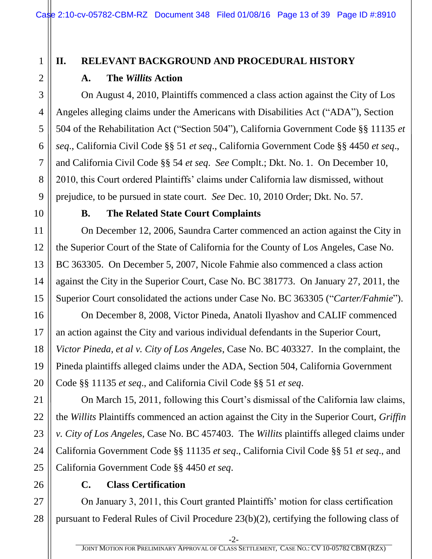## 2 3

1

#### <span id="page-12-1"></span><span id="page-12-0"></span>**II. RELEVANT BACKGROUND AND PROCEDURAL HISTORY A. The** *Willits* **Action**

On August 4, 2010, Plaintiffs commenced a class action against the City of Los Angeles alleging claims under the Americans with Disabilities Act ("ADA"), Section 504 of the Rehabilitation Act ("Section 504"), California Government Code §§ 11135 *et seq*., California Civil Code §§ 51 *et seq*., California Government Code §§ 4450 *et seq*., and California Civil Code §§ 54 *et seq*. *See* Complt.; Dkt. No. 1. On December 10, 2010, this Court ordered Plaintiffs' claims under California law dismissed, without prejudice, to be pursued in state court. *See* Dec. 10, 2010 Order; Dkt. No. 57.

<span id="page-12-2"></span>

#### **B. The Related State Court Complaints**

On December 12, 2006, Saundra Carter commenced an action against the City in the Superior Court of the State of California for the County of Los Angeles, Case No. BC 363305. On December 5, 2007, Nicole Fahmie also commenced a class action against the City in the Superior Court, Case No. BC 381773. On January 27, 2011, the Superior Court consolidated the actions under Case No. BC 363305 ("*Carter/Fahmie*").

On December 8, 2008, Victor Pineda, Anatoli Ilyashov and CALIF commenced an action against the City and various individual defendants in the Superior Court, *Victor Pineda, et al v. City of Los Angeles*, Case No. BC 403327. In the complaint, the Pineda plaintiffs alleged claims under the ADA, Section 504, California Government Code §§ 11135 *et seq*., and California Civil Code §§ 51 *et seq*.

On March 15, 2011, following this Court's dismissal of the California law claims, the *Willits* Plaintiffs commenced an action against the City in the Superior Court, *Griffin v. City of Los Angeles,* Case No. BC 457403. The *Willits* plaintiffs alleged claims under California Government Code §§ 11135 *et seq*., California Civil Code §§ 51 *et seq*., and California Government Code §§ 4450 *et seq*.

<span id="page-12-3"></span>

#### **C. Class Certification**

On January 3, 2011, this Court granted Plaintiffs' motion for class certification pursuant to Federal Rules of Civil Procedure 23(b)(2), certifying the following class of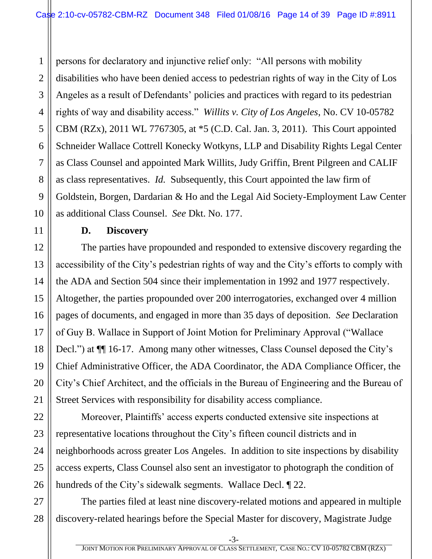1 persons for declaratory and injunctive relief only: "All persons with mobility disabilities who have been denied access to pedestrian rights of way in the City of Los Angeles as a result of Defendants' policies and practices with regard to its pedestrian rights of way and disability access." *Willits v. City of Los Angeles*, No. CV 10-05782 CBM (RZx), 2011 WL 7767305, at \*5 (C.D. Cal. Jan. 3, 2011). This Court appointed Schneider Wallace Cottrell Konecky Wotkyns, LLP and Disability Rights Legal Center as Class Counsel and appointed Mark Willits, Judy Griffin, Brent Pilgreen and CALIF as class representatives. *Id.* Subsequently, this Court appointed the law firm of Goldstein, Borgen, Dardarian & Ho and the Legal Aid Society-Employment Law Center as additional Class Counsel. *See* Dkt. No. 177.

#### **D. Discovery**

<span id="page-13-0"></span>The parties have propounded and responded to extensive discovery regarding the accessibility of the City's pedestrian rights of way and the City's efforts to comply with the ADA and Section 504 since their implementation in 1992 and 1977 respectively. Altogether, the parties propounded over 200 interrogatories, exchanged over 4 million pages of documents, and engaged in more than 35 days of deposition. *See* Declaration of Guy B. Wallace in Support of Joint Motion for Preliminary Approval ("Wallace Decl.") at  $\P$  16-17. Among many other witnesses, Class Counsel deposed the City's Chief Administrative Officer, the ADA Coordinator, the ADA Compliance Officer, the City's Chief Architect, and the officials in the Bureau of Engineering and the Bureau of Street Services with responsibility for disability access compliance.

Moreover, Plaintiffs' access experts conducted extensive site inspections at representative locations throughout the City's fifteen council districts and in neighborhoods across greater Los Angeles. In addition to site inspections by disability access experts, Class Counsel also sent an investigator to photograph the condition of hundreds of the City's sidewalk segments. Wallace Decl. ¶ 22.

The parties filed at least nine discovery-related motions and appeared in multiple discovery-related hearings before the Special Master for discovery, Magistrate Judge

-3-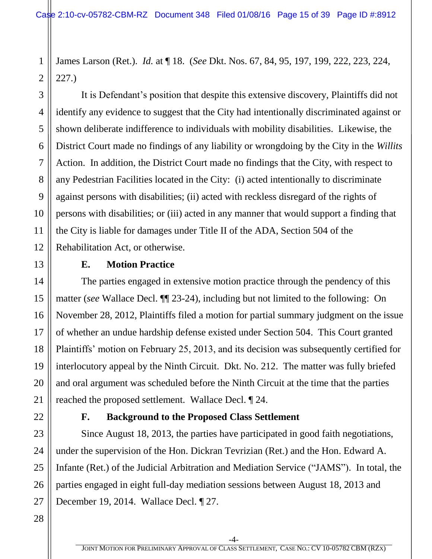James Larson (Ret.). *Id.* at ¶ 18. (*See* Dkt. Nos. 67, 84, 95, 197, 199, 222, 223, 224, 227.)

It is Defendant's position that despite this extensive discovery, Plaintiffs did not identify any evidence to suggest that the City had intentionally discriminated against or shown deliberate indifference to individuals with mobility disabilities. Likewise, the District Court made no findings of any liability or wrongdoing by the City in the *Willits*  Action. In addition, the District Court made no findings that the City, with respect to any Pedestrian Facilities located in the City: (i) acted intentionally to discriminate against persons with disabilities; (ii) acted with reckless disregard of the rights of persons with disabilities; or (iii) acted in any manner that would support a finding that the City is liable for damages under Title II of the ADA, Section 504 of the Rehabilitation Act, or otherwise.

#### **E. Motion Practice**

<span id="page-14-0"></span>The parties engaged in extensive motion practice through the pendency of this matter (*see* Wallace Decl. ¶¶ 23-24), including but not limited to the following: On November 28, 2012, Plaintiffs filed a motion for partial summary judgment on the issue of whether an undue hardship defense existed under Section 504. This Court granted Plaintiffs' motion on February 25, 2013, and its decision was subsequently certified for interlocutory appeal by the Ninth Circuit. Dkt. No. 212. The matter was fully briefed and oral argument was scheduled before the Ninth Circuit at the time that the parties reached the proposed settlement. Wallace Decl. ¶ 24.

#### **F. Background to the Proposed Class Settlement**

<span id="page-14-1"></span>Since August 18, 2013, the parties have participated in good faith negotiations, under the supervision of the Hon. Dickran Tevrizian (Ret.) and the Hon. Edward A. Infante (Ret.) of the Judicial Arbitration and Mediation Service ("JAMS"). In total, the parties engaged in eight full-day mediation sessions between August 18, 2013 and December 19, 2014. Wallace Decl. ¶ 27.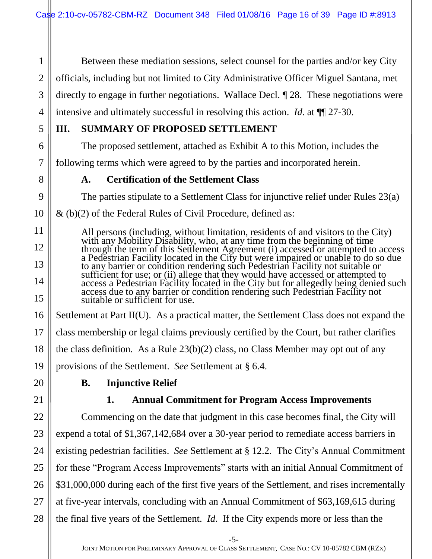2 Between these mediation sessions, select counsel for the parties and/or key City officials, including but not limited to City Administrative Officer Miguel Santana, met directly to engage in further negotiations. Wallace Decl. ¶ 28. These negotiations were intensive and ultimately successful in resolving this action. *Id*. at ¶¶ 27-30.

#### <span id="page-15-0"></span>**III. SUMMARY OF PROPOSED SETTLEMENT**

The proposed settlement, attached as Exhibit A to this Motion, includes the

<span id="page-15-1"></span>following terms which were agreed to by the parties and incorporated herein.

**A. Certification of the Settlement Class**

The parties stipulate to a Settlement Class for injunctive relief under Rules 23(a)

 $\&$  (b)(2) of the Federal Rules of Civil Procedure, defined as:

All persons (including, without limitation, residents of and visitors to the City) with any Mobility Disability, who, at any time from the beginning of time through the term of this Settlement Agreement (i) accessed or attempted to access a Pedestrian Facility located in the City but were impaired or unable to do so due to any barrier or condition rendering such Pedestrian Facility not suitable or sufficient for use; or (ii) allege that they would have accessed or attempted to access a Pedestrian Facility located in the City but for allegedly being denied such access due to any barrier or condition rendering such Pedestrian Facility not suitable or sufficient for use.

Settlement at Part II(U). As a practical matter, the Settlement Class does not expand the class membership or legal claims previously certified by the Court, but rather clarifies the class definition. As a Rule 23(b)(2) class, no Class Member may opt out of any provisions of the Settlement. *See* Settlement at § 6.4.

- <span id="page-15-3"></span><span id="page-15-2"></span>
- **B. Injunctive Relief**

#### **1. Annual Commitment for Program Access Improvements**

Commencing on the date that judgment in this case becomes final, the City will expend a total of \$1,367,142,684 over a 30-year period to remediate access barriers in existing pedestrian facilities. *See* Settlement at § 12.2. The City's Annual Commitment for these "Program Access Improvements" starts with an initial Annual Commitment of \$31,000,000 during each of the first five years of the Settlement, and rises incrementally at five-year intervals, concluding with an Annual Commitment of \$63,169,615 during the final five years of the Settlement. *Id*. If the City expends more or less than the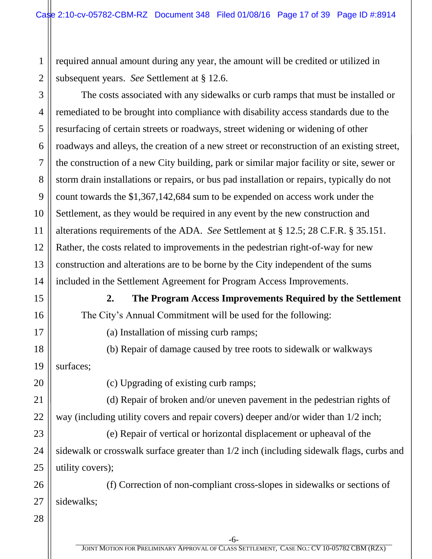required annual amount during any year, the amount will be credited or utilized in subsequent years. *See* Settlement at § 12.6.

7 8 9 10 11 12 13 14 The costs associated with any sidewalks or curb ramps that must be installed or remediated to be brought into compliance with disability access standards due to the resurfacing of certain streets or roadways, street widening or widening of other roadways and alleys, the creation of a new street or reconstruction of an existing street, the construction of a new City building, park or similar major facility or site, sewer or storm drain installations or repairs, or bus pad installation or repairs, typically do not count towards the \$1,367,142,684 sum to be expended on access work under the Settlement, as they would be required in any event by the new construction and alterations requirements of the ADA. *See* Settlement at § 12.5; 28 C.F.R. § 35.151. Rather, the costs related to improvements in the pedestrian right-of-way for new construction and alterations are to be borne by the City independent of the sums included in the Settlement Agreement for Program Access Improvements.

> **2. The Program Access Improvements Required by the Settlement** The City's Annual Commitment will be used for the following:

17

<span id="page-16-0"></span>15

16

(a) Installation of missing curb ramps;

18 19 (b) Repair of damage caused by tree roots to sidewalk or walkways surfaces;

20

21

22

23

24

25

(c) Upgrading of existing curb ramps;

(d) Repair of broken and/or uneven pavement in the pedestrian rights of way (including utility covers and repair covers) deeper and/or wider than 1/2 inch;

(e) Repair of vertical or horizontal displacement or upheaval of the sidewalk or crosswalk surface greater than 1/2 inch (including sidewalk flags, curbs and utility covers);

26 27 (f) Correction of non-compliant cross-slopes in sidewalks or sections of sidewalks;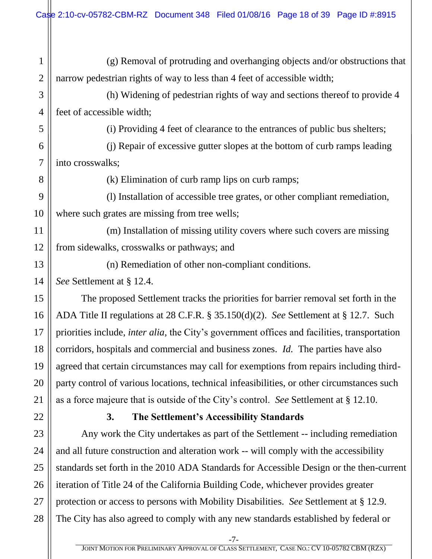| $\mathbf{1}$   | (g) Removal of protruding and overhanging objects and/or obstructions that                           |  |  |
|----------------|------------------------------------------------------------------------------------------------------|--|--|
| $\overline{2}$ | narrow pedestrian rights of way to less than 4 feet of accessible width;                             |  |  |
| 3              | (h) Widening of pedestrian rights of way and sections thereof to provide 4                           |  |  |
| $\overline{4}$ | feet of accessible width;                                                                            |  |  |
| 5              | (i) Providing 4 feet of clearance to the entrances of public bus shelters;                           |  |  |
| 6              | (j) Repair of excessive gutter slopes at the bottom of curb ramps leading                            |  |  |
| 7              | into crosswalks;                                                                                     |  |  |
| 8              | (k) Elimination of curb ramp lips on curb ramps;                                                     |  |  |
| 9              | (1) Installation of accessible tree grates, or other compliant remediation,                          |  |  |
| 10             | where such grates are missing from tree wells;                                                       |  |  |
| 11             | (m) Installation of missing utility covers where such covers are missing                             |  |  |
| 12             | from sidewalks, crosswalks or pathways; and                                                          |  |  |
| 13             | (n) Remediation of other non-compliant conditions.                                                   |  |  |
| 14             | See Settlement at § 12.4.                                                                            |  |  |
| 15             | The proposed Settlement tracks the priorities for barrier removal set forth in the                   |  |  |
| 16             | ADA Title II regulations at 28 C.F.R. $\S 35.150(d)(2)$ . See Settlement at $\S 12.7$ . Such         |  |  |
| 17             | priorities include, <i>inter alia</i> , the City's government offices and facilities, transportation |  |  |
| 18             | corridors, hospitals and commercial and business zones. <i>Id.</i> The parties have also             |  |  |
| 19             | agreed that certain circumstances may call for exemptions from repairs including third-              |  |  |
| 20             | party control of various locations, technical infeasibilities, or other circumstances such           |  |  |
| 21             | as a force majeure that is outside of the City's control. See Settlement at § 12.10.                 |  |  |
| 22             | The Settlement's Accessibility Standards<br><b>3.</b>                                                |  |  |
| 23             | Any work the City undertakes as part of the Settlement -- including remediation                      |  |  |
| 24             | and all future construction and alteration work -- will comply with the accessibility                |  |  |
| 25             | standards set forth in the 2010 ADA Standards for Accessible Design or the then-current              |  |  |

<span id="page-17-0"></span>26 27 28 standards set forth in the 2010 ADA Standards for Accessible Design or the then-current iteration of Title 24 of the California Building Code, whichever provides greater protection or access to persons with Mobility Disabilities. *See* Settlement at § 12.9. The City has also agreed to comply with any new standards established by federal or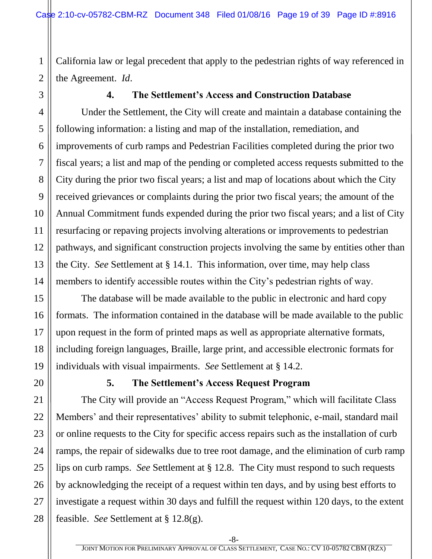California law or legal precedent that apply to the pedestrian rights of way referenced in the Agreement. *Id*.

<span id="page-18-0"></span>

#### **4. The Settlement's Access and Construction Database**

Under the Settlement, the City will create and maintain a database containing the following information: a listing and map of the installation, remediation, and improvements of curb ramps and Pedestrian Facilities completed during the prior two fiscal years; a list and map of the pending or completed access requests submitted to the City during the prior two fiscal years; a list and map of locations about which the City received grievances or complaints during the prior two fiscal years; the amount of the Annual Commitment funds expended during the prior two fiscal years; and a list of City resurfacing or repaving projects involving alterations or improvements to pedestrian pathways, and significant construction projects involving the same by entities other than the City. *See* Settlement at § 14.1. This information, over time, may help class members to identify accessible routes within the City's pedestrian rights of way.

The database will be made available to the public in electronic and hard copy formats. The information contained in the database will be made available to the public upon request in the form of printed maps as well as appropriate alternative formats, including foreign languages, Braille, large print, and accessible electronic formats for individuals with visual impairments. *See* Settlement at § 14.2.

#### **5. The Settlement's Access Request Program**

<span id="page-18-1"></span>The City will provide an "Access Request Program," which will facilitate Class Members' and their representatives' ability to submit telephonic, e-mail, standard mail or online requests to the City for specific access repairs such as the installation of curb ramps, the repair of sidewalks due to tree root damage, and the elimination of curb ramp lips on curb ramps. *See* Settlement at § 12.8. The City must respond to such requests by acknowledging the receipt of a request within ten days, and by using best efforts to investigate a request within 30 days and fulfill the request within 120 days, to the extent feasible. *See* Settlement at § 12.8(g).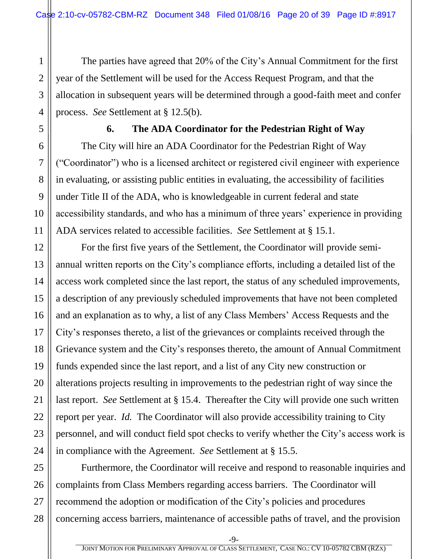The parties have agreed that 20% of the City's Annual Commitment for the first year of the Settlement will be used for the Access Request Program, and that the allocation in subsequent years will be determined through a good-faith meet and confer process. *See* Settlement at § 12.5(b).

<span id="page-19-0"></span>

1

2

3

4

5

#### **6. The ADA Coordinator for the Pedestrian Right of Way**

The City will hire an ADA Coordinator for the Pedestrian Right of Way ("Coordinator") who is a licensed architect or registered civil engineer with experience in evaluating, or assisting public entities in evaluating, the accessibility of facilities under Title II of the ADA, who is knowledgeable in current federal and state accessibility standards, and who has a minimum of three years' experience in providing ADA services related to accessible facilities. *See* Settlement at § 15.1.

For the first five years of the Settlement, the Coordinator will provide semiannual written reports on the City's compliance efforts, including a detailed list of the access work completed since the last report, the status of any scheduled improvements, a description of any previously scheduled improvements that have not been completed and an explanation as to why, a list of any Class Members' Access Requests and the City's responses thereto, a list of the grievances or complaints received through the Grievance system and the City's responses thereto, the amount of Annual Commitment funds expended since the last report, and a list of any City new construction or alterations projects resulting in improvements to the pedestrian right of way since the last report. *See* Settlement at § 15.4. Thereafter the City will provide one such written report per year. *Id.* The Coordinator will also provide accessibility training to City personnel, and will conduct field spot checks to verify whether the City's access work is in compliance with the Agreement. *See* Settlement at § 15.5.

Furthermore, the Coordinator will receive and respond to reasonable inquiries and complaints from Class Members regarding access barriers. The Coordinator will recommend the adoption or modification of the City's policies and procedures concerning access barriers, maintenance of accessible paths of travel, and the provision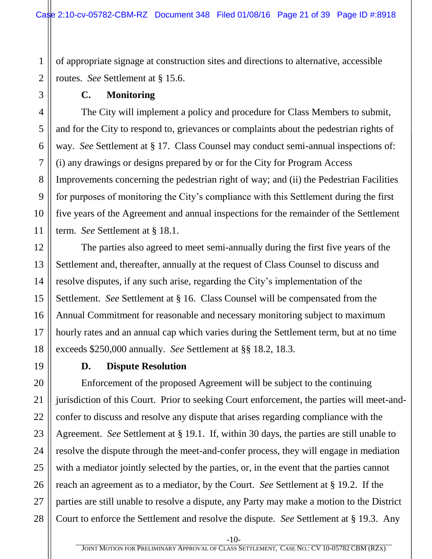of appropriate signage at construction sites and directions to alternative, accessible routes. *See* Settlement at § 15.6.

#### **C. Monitoring**

<span id="page-20-0"></span>The City will implement a policy and procedure for Class Members to submit, and for the City to respond to, grievances or complaints about the pedestrian rights of way. *See* Settlement at § 17. Class Counsel may conduct semi-annual inspections of: (i) any drawings or designs prepared by or for the City for Program Access Improvements concerning the pedestrian right of way; and (ii) the Pedestrian Facilities for purposes of monitoring the City's compliance with this Settlement during the first five years of the Agreement and annual inspections for the remainder of the Settlement term. *See* Settlement at § 18.1.

The parties also agreed to meet semi-annually during the first five years of the Settlement and, thereafter, annually at the request of Class Counsel to discuss and resolve disputes, if any such arise, regarding the City's implementation of the Settlement. *See* Settlement at § 16. Class Counsel will be compensated from the Annual Commitment for reasonable and necessary monitoring subject to maximum hourly rates and an annual cap which varies during the Settlement term, but at no time exceeds \$250,000 annually. *See* Settlement at §§ 18.2, 18.3.

<span id="page-20-1"></span>

#### **D. Dispute Resolution**

Enforcement of the proposed Agreement will be subject to the continuing jurisdiction of this Court. Prior to seeking Court enforcement, the parties will meet-andconfer to discuss and resolve any dispute that arises regarding compliance with the Agreement. *See* Settlement at § 19.1. If, within 30 days, the parties are still unable to resolve the dispute through the meet-and-confer process, they will engage in mediation with a mediator jointly selected by the parties, or, in the event that the parties cannot reach an agreement as to a mediator, by the Court. *See* Settlement at § 19.2. If the parties are still unable to resolve a dispute, any Party may make a motion to the District Court to enforce the Settlement and resolve the dispute. *See* Settlement at § 19.3. Any

-10-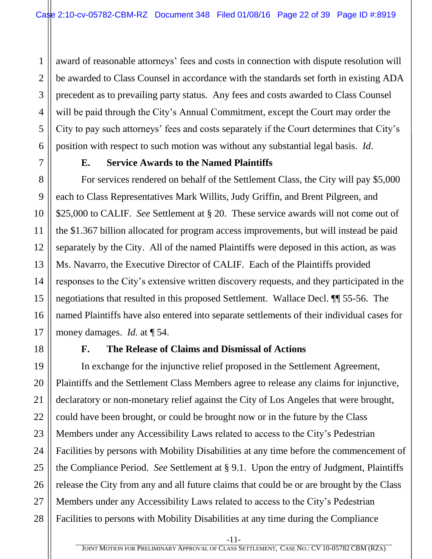2 3 4 5 6 award of reasonable attorneys' fees and costs in connection with dispute resolution will be awarded to Class Counsel in accordance with the standards set forth in existing ADA precedent as to prevailing party status. Any fees and costs awarded to Class Counsel will be paid through the City's Annual Commitment, except the Court may order the City to pay such attorneys' fees and costs separately if the Court determines that City's position with respect to such motion was without any substantial legal basis. *Id*.

<span id="page-21-0"></span>

1

7

8

9

10

11

12

13

14

15

16

17

18

#### **E. Service Awards to the Named Plaintiffs**

For services rendered on behalf of the Settlement Class, the City will pay \$5,000 each to Class Representatives Mark Willits, Judy Griffin, and Brent Pilgreen, and \$25,000 to CALIF. *See* Settlement at § 20. These service awards will not come out of the \$1.367 billion allocated for program access improvements, but will instead be paid separately by the City. All of the named Plaintiffs were deposed in this action, as was Ms. Navarro, the Executive Director of CALIF. Each of the Plaintiffs provided responses to the City's extensive written discovery requests, and they participated in the negotiations that resulted in this proposed Settlement. Wallace Decl. ¶¶ 55-56. The named Plaintiffs have also entered into separate settlements of their individual cases for money damages. *Id.* at ¶ 54.

<span id="page-21-1"></span>

#### **F. The Release of Claims and Dismissal of Actions**

19 20 21 22 23 24 25 26 27 28 In exchange for the injunctive relief proposed in the Settlement Agreement, Plaintiffs and the Settlement Class Members agree to release any claims for injunctive, declaratory or non-monetary relief against the City of Los Angeles that were brought, could have been brought, or could be brought now or in the future by the Class Members under any Accessibility Laws related to access to the City's Pedestrian Facilities by persons with Mobility Disabilities at any time before the commencement of the Compliance Period. *See* Settlement at § 9.1. Upon the entry of Judgment, Plaintiffs release the City from any and all future claims that could be or are brought by the Class Members under any Accessibility Laws related to access to the City's Pedestrian Facilities to persons with Mobility Disabilities at any time during the Compliance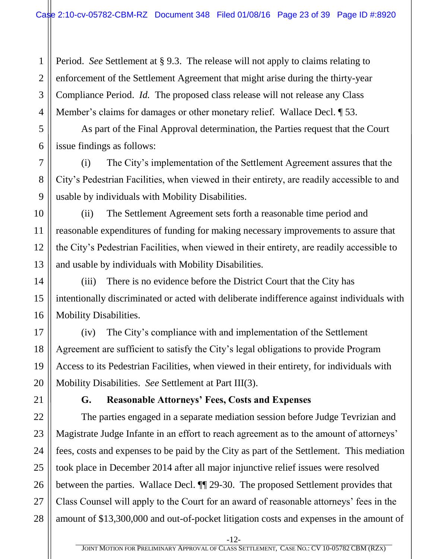Period. *See* Settlement at § 9.3. The release will not apply to claims relating to enforcement of the Settlement Agreement that might arise during the thirty-year Compliance Period. *Id.* The proposed class release will not release any Class Member's claims for damages or other monetary relief. Wallace Decl. 153.

As part of the Final Approval determination, the Parties request that the Court issue findings as follows:

(i) The City's implementation of the Settlement Agreement assures that the City's Pedestrian Facilities, when viewed in their entirety, are readily accessible to and usable by individuals with Mobility Disabilities.

(ii) The Settlement Agreement sets forth a reasonable time period and reasonable expenditures of funding for making necessary improvements to assure that the City's Pedestrian Facilities, when viewed in their entirety, are readily accessible to and usable by individuals with Mobility Disabilities.

(iii) There is no evidence before the District Court that the City has intentionally discriminated or acted with deliberate indifference against individuals with Mobility Disabilities.

(iv) The City's compliance with and implementation of the Settlement Agreement are sufficient to satisfy the City's legal obligations to provide Program Access to its Pedestrian Facilities, when viewed in their entirety, for individuals with Mobility Disabilities. *See* Settlement at Part III(3).

<span id="page-22-0"></span>

#### **G. Reasonable Attorneys' Fees, Costs and Expenses**

The parties engaged in a separate mediation session before Judge Tevrizian and Magistrate Judge Infante in an effort to reach agreement as to the amount of attorneys' fees, costs and expenses to be paid by the City as part of the Settlement. This mediation took place in December 2014 after all major injunctive relief issues were resolved between the parties. Wallace Decl. ¶¶ 29-30. The proposed Settlement provides that Class Counsel will apply to the Court for an award of reasonable attorneys' fees in the amount of \$13,300,000 and out-of-pocket litigation costs and expenses in the amount of

1

-12-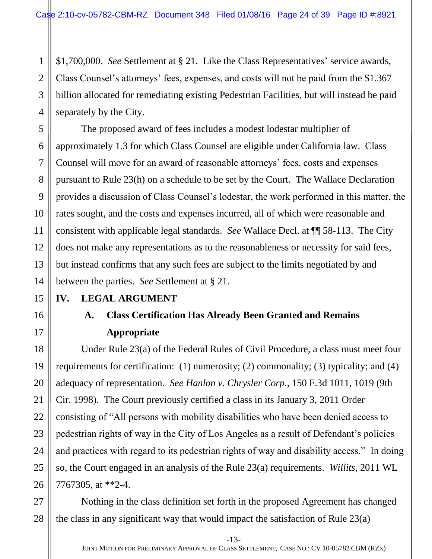\$1,700,000. *See* Settlement at § 21. Like the Class Representatives' service awards, Class Counsel's attorneys' fees, expenses, and costs will not be paid from the \$1.367 billion allocated for remediating existing Pedestrian Facilities, but will instead be paid separately by the City.

The proposed award of fees includes a modest lodestar multiplier of approximately 1.3 for which Class Counsel are eligible under California law. Class Counsel will move for an award of reasonable attorneys' fees, costs and expenses pursuant to Rule 23(h) on a schedule to be set by the Court. The Wallace Declaration provides a discussion of Class Counsel's lodestar, the work performed in this matter, the rates sought, and the costs and expenses incurred, all of which were reasonable and consistent with applicable legal standards. *See* Wallace Decl. at ¶¶ 58-113. The City does not make any representations as to the reasonableness or necessity for said fees, but instead confirms that any such fees are subject to the limits negotiated by and between the parties. *See* Settlement at § 21.

#### <span id="page-23-1"></span><span id="page-23-0"></span>**IV. LEGAL ARGUMENT**

### **A. Class Certification Has Already Been Granted and Remains Appropriate**

Under Rule 23(a) of the Federal Rules of Civil Procedure, a class must meet four requirements for certification: (1) numerosity; (2) commonality; (3) typicality; and (4) adequacy of representation. *See Hanlon v. Chrysler Corp.,* 150 F.3d 1011, 1019 (9th Cir. 1998). The Court previously certified a class in its January 3, 2011 Order consisting of "All persons with mobility disabilities who have been denied access to pedestrian rights of way in the City of Los Angeles as a result of Defendant's policies and practices with regard to its pedestrian rights of way and disability access." In doing so, the Court engaged in an analysis of the Rule 23(a) requirements. *Willits*, 2011 WL 7767305, at \*\*2-4.

Nothing in the class definition set forth in the proposed Agreement has changed the class in any significant way that would impact the satisfaction of Rule 23(a)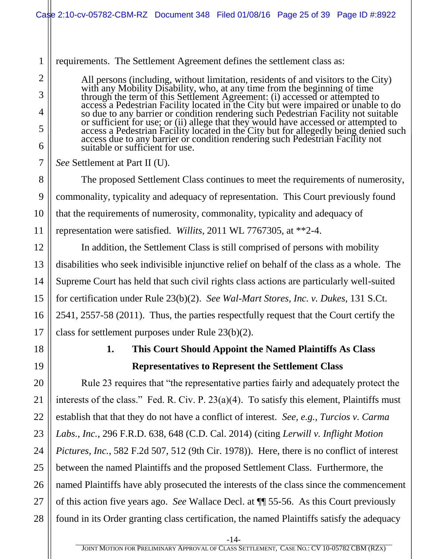<span id="page-24-0"></span>

|                | Case 2:10-cv-05782-CBM-RZ Document 348 Filed 01/08/16 Page 25 of 39 Page ID #:8922                                                                                                                                                                                      |  |  |  |  |  |  |
|----------------|-------------------------------------------------------------------------------------------------------------------------------------------------------------------------------------------------------------------------------------------------------------------------|--|--|--|--|--|--|
|                |                                                                                                                                                                                                                                                                         |  |  |  |  |  |  |
| $\mathbf{1}$   | requirements. The Settlement Agreement defines the settlement class as:                                                                                                                                                                                                 |  |  |  |  |  |  |
| $\overline{2}$ | All persons (including, without limitation, residents of and visitors to the City)                                                                                                                                                                                      |  |  |  |  |  |  |
| 3              |                                                                                                                                                                                                                                                                         |  |  |  |  |  |  |
| 4              |                                                                                                                                                                                                                                                                         |  |  |  |  |  |  |
| 5<br>6         | An persons (including, whilout infination, residents of and visitors to the City)<br>with any Mobility Disability, who, at any time from the beginning of time<br>through the term of this Settlement Agreement: (i) accessed or att<br>suitable or sufficient for use. |  |  |  |  |  |  |
| $\overline{7}$ | See Settlement at Part II (U).                                                                                                                                                                                                                                          |  |  |  |  |  |  |
| 8              | The proposed Settlement Class continues to meet the requirements of numerosity,                                                                                                                                                                                         |  |  |  |  |  |  |
| 9              | commonality, typicality and adequacy of representation. This Court previously found                                                                                                                                                                                     |  |  |  |  |  |  |
| 10             | that the requirements of numerosity, commonality, typicality and adequacy of                                                                                                                                                                                            |  |  |  |  |  |  |
| 11             | representation were satisfied. Willits, 2011 WL 7767305, at **2-4.                                                                                                                                                                                                      |  |  |  |  |  |  |
| 12             | In addition, the Settlement Class is still comprised of persons with mobility                                                                                                                                                                                           |  |  |  |  |  |  |
| 13             | disabilities who seek indivisible injunctive relief on behalf of the class as a whole. The                                                                                                                                                                              |  |  |  |  |  |  |
| 14             | Supreme Court has held that such civil rights class actions are particularly well-suited                                                                                                                                                                                |  |  |  |  |  |  |
| 15             | for certification under Rule 23(b)(2). See Wal-Mart Stores, Inc. v. Dukes, 131 S.Ct.                                                                                                                                                                                    |  |  |  |  |  |  |
| 16             | 2541, 2557-58 (2011). Thus, the parties respectfully request that the Court certify the                                                                                                                                                                                 |  |  |  |  |  |  |
| 17             | class for settlement purposes under Rule $23(b)(2)$ .                                                                                                                                                                                                                   |  |  |  |  |  |  |
| 18             | This Court Should Appoint the Named Plaintiffs As Class<br>1.                                                                                                                                                                                                           |  |  |  |  |  |  |
| 19             | <b>Representatives to Represent the Settlement Class</b>                                                                                                                                                                                                                |  |  |  |  |  |  |
| 20             | Rule 23 requires that "the representative parties fairly and adequately protect the                                                                                                                                                                                     |  |  |  |  |  |  |
| 21             | interests of the class." Fed. R. Civ. P. $23(a)(4)$ . To satisfy this element, Plaintiffs must                                                                                                                                                                          |  |  |  |  |  |  |
| 22             | establish that that they do not have a conflict of interest. See, e.g., Turcios v. Carma                                                                                                                                                                                |  |  |  |  |  |  |
| 23             | Labs., Inc., 296 F.R.D. 638, 648 (C.D. Cal. 2014) (citing Lerwill v. Inflight Motion                                                                                                                                                                                    |  |  |  |  |  |  |
| 24             | Pictures, Inc., 582 F.2d 507, 512 (9th Cir. 1978)). Here, there is no conflict of interest                                                                                                                                                                              |  |  |  |  |  |  |
| 25             | between the named Plaintiffs and the proposed Settlement Class. Furthermore, the                                                                                                                                                                                        |  |  |  |  |  |  |
| 26             | named Plaintiffs have ably prosecuted the interests of the class since the commencement                                                                                                                                                                                 |  |  |  |  |  |  |
| 27             | of this action five years ago. See Wallace Decl. at $\P$ 55-56. As this Court previously                                                                                                                                                                                |  |  |  |  |  |  |
| 28             | found in its Order granting class certification, the named Plaintiffs satisfy the adequacy                                                                                                                                                                              |  |  |  |  |  |  |
|                | $-14-$                                                                                                                                                                                                                                                                  |  |  |  |  |  |  |
|                | JOINT MOTION FOR PRELIMINARY APPROVAL OF CLASS SETTLEMENT, CASE NO.: CV 10-05782 CBM (RZX)                                                                                                                                                                              |  |  |  |  |  |  |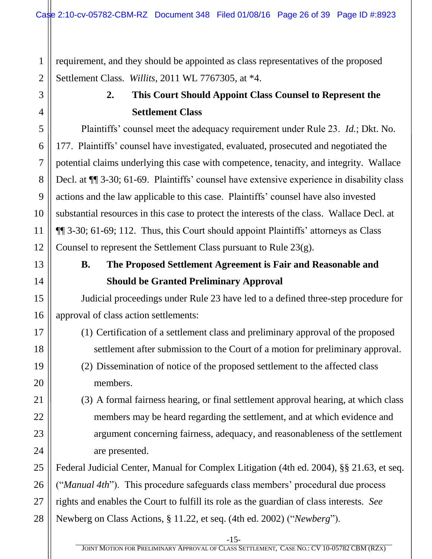<span id="page-25-0"></span>requirement, and they should be appointed as class representatives of the proposed Settlement Class. *Willits*, 2011 WL 7767305, at \*4.

#### **2. This Court Should Appoint Class Counsel to Represent the Settlement Class**

Plaintiffs' counsel meet the adequacy requirement under Rule 23. *Id.*; Dkt. No. 177. Plaintiffs' counsel have investigated, evaluated, prosecuted and negotiated the potential claims underlying this case with competence, tenacity, and integrity. Wallace Decl. at ¶¶ 3-30; 61-69. Plaintiffs' counsel have extensive experience in disability class actions and the law applicable to this case. Plaintiffs' counsel have also invested substantial resources in this case to protect the interests of the class. Wallace Decl. at ¶¶ 3-30; 61-69; 112. Thus, this Court should appoint Plaintiffs' attorneys as Class Counsel to represent the Settlement Class pursuant to Rule 23(g).

<span id="page-25-1"></span>

#### **B. The Proposed Settlement Agreement is Fair and Reasonable and Should be Granted Preliminary Approval**

Judicial proceedings under Rule 23 have led to a defined three-step procedure for approval of class action settlements:

- (1) Certification of a settlement class and preliminary approval of the proposed settlement after submission to the Court of a motion for preliminary approval.
- (2) Dissemination of notice of the proposed settlement to the affected class members.
- (3) A formal fairness hearing, or final settlement approval hearing, at which class members may be heard regarding the settlement, and at which evidence and argument concerning fairness, adequacy, and reasonableness of the settlement are presented.

Federal Judicial Center, Manual for Complex Litigation (4th ed. 2004), §§ 21.63, et seq. ("*Manual 4th*"). This procedure safeguards class members' procedural due process rights and enables the Court to fulfill its role as the guardian of class interests. *See* Newberg on Class Actions, § 11.22, et seq. (4th ed. 2002) ("*Newberg*").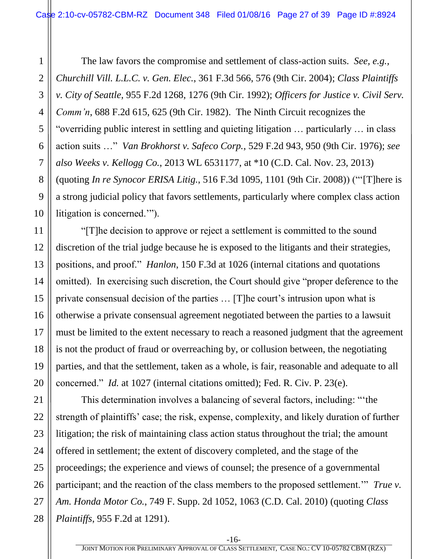The law favors the compromise and settlement of class-action suits. *See, e.g., Churchill Vill. L.L.C. v. Gen. Elec.*, 361 F.3d 566, 576 (9th Cir. 2004); *Class Plaintiffs v. City of Seattle*, 955 F.2d 1268, 1276 (9th Cir. 1992); *Officers for Justice v. Civil Serv. Comm'n*, 688 F.2d 615, 625 (9th Cir. 1982). The Ninth Circuit recognizes the "overriding public interest in settling and quieting litigation … particularly … in class action suits …" *Van Brokhorst v. Safeco Corp.*, 529 F.2d 943, 950 (9th Cir. 1976); *see also Weeks v. Kellogg Co.*, 2013 WL 6531177, at \*10 (C.D. Cal. Nov. 23, 2013) (quoting *In re Synocor ERISA Litig.*, 516 F.3d 1095, 1101 (9th Cir. 2008)) ("'[T]here is a strong judicial policy that favors settlements, particularly where complex class action litigation is concerned.'").

"[T]he decision to approve or reject a settlement is committed to the sound discretion of the trial judge because he is exposed to the litigants and their strategies, positions, and proof." *Hanlon*, 150 F.3d at 1026 (internal citations and quotations omitted). In exercising such discretion, the Court should give "proper deference to the private consensual decision of the parties … [T]he court's intrusion upon what is otherwise a private consensual agreement negotiated between the parties to a lawsuit must be limited to the extent necessary to reach a reasoned judgment that the agreement is not the product of fraud or overreaching by, or collusion between, the negotiating parties, and that the settlement, taken as a whole, is fair, reasonable and adequate to all concerned." *Id.* at 1027 (internal citations omitted); Fed. R. Civ. P. 23(e).

This determination involves a balancing of several factors, including: "'the strength of plaintiffs' case; the risk, expense, complexity, and likely duration of further litigation; the risk of maintaining class action status throughout the trial; the amount offered in settlement; the extent of discovery completed, and the stage of the proceedings; the experience and views of counsel; the presence of a governmental participant; and the reaction of the class members to the proposed settlement.'" *True v. Am. Honda Motor Co.*, 749 F. Supp. 2d 1052, 1063 (C.D. Cal. 2010) (quoting *Class Plaintiffs*, 955 F.2d at 1291).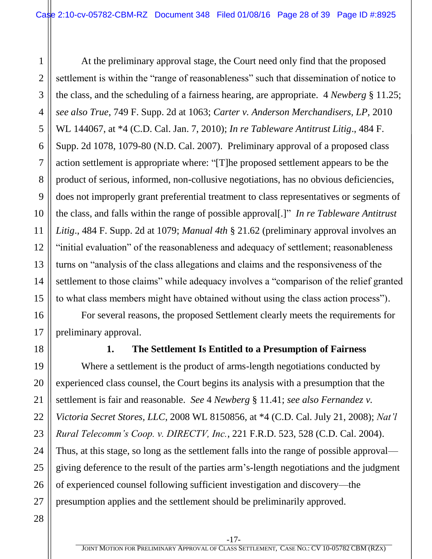At the preliminary approval stage, the Court need only find that the proposed settlement is within the "range of reasonableness" such that dissemination of notice to the class, and the scheduling of a fairness hearing, are appropriate. 4 *Newberg* § 11.25; *see also True*, 749 F. Supp. 2d at 1063; *Carter v. Anderson Merchandisers, LP,* 2010 WL 144067, at \*4 (C.D. Cal. Jan. 7, 2010); *In re Tableware Antitrust Litig*., 484 F. Supp. 2d 1078, 1079-80 (N.D. Cal. 2007). Preliminary approval of a proposed class action settlement is appropriate where: "[T]he proposed settlement appears to be the product of serious, informed, non-collusive negotiations, has no obvious deficiencies, does not improperly grant preferential treatment to class representatives or segments of the class, and falls within the range of possible approval[.]" *In re Tableware Antitrust Litig*., 484 F. Supp. 2d at 1079; *Manual 4th* § 21.62 (preliminary approval involves an "initial evaluation" of the reasonableness and adequacy of settlement; reasonableness turns on "analysis of the class allegations and claims and the responsiveness of the settlement to those claims" while adequacy involves a "comparison of the relief granted to what class members might have obtained without using the class action process").

 For several reasons, the proposed Settlement clearly meets the requirements for preliminary approval.

<span id="page-27-0"></span>

1

2

3

4

5

6

7

8

9

10

11

12

13

14

15

16

17

18

19

20

21

22

23

24

25

26

27

#### **1. The Settlement Is Entitled to a Presumption of Fairness**

Where a settlement is the product of arms-length negotiations conducted by experienced class counsel, the Court begins its analysis with a presumption that the settlement is fair and reasonable. *See* 4 *Newberg* § 11.41; *see also Fernandez v. Victoria Secret Stores, LLC*, 2008 WL 8150856, at \*4 (C.D. Cal. July 21, 2008); *Nat'l Rural Telecomm's Coop. v. DIRECTV, Inc.*, 221 F.R.D. 523, 528 (C.D. Cal. 2004). Thus, at this stage, so long as the settlement falls into the range of possible approval giving deference to the result of the parties arm's-length negotiations and the judgment of experienced counsel following sufficient investigation and discovery—the presumption applies and the settlement should be preliminarily approved.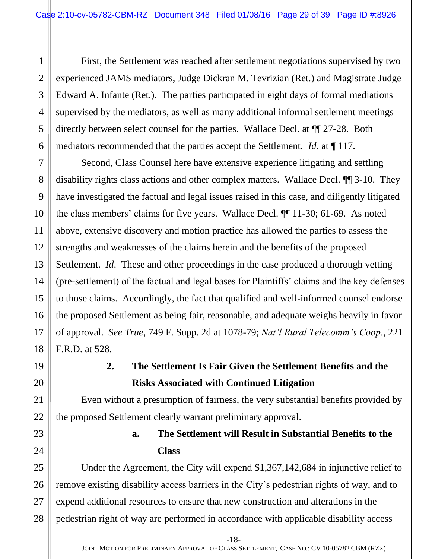3 4 5 6 First, the Settlement was reached after settlement negotiations supervised by two experienced JAMS mediators, Judge Dickran M. Tevrizian (Ret.) and Magistrate Judge Edward A. Infante (Ret.). The parties participated in eight days of formal mediations supervised by the mediators, as well as many additional informal settlement meetings directly between select counsel for the parties. Wallace Decl. at ¶¶ 27-28. Both mediators recommended that the parties accept the Settlement. *Id.* at ¶ 117.

Second, Class Counsel here have extensive experience litigating and settling disability rights class actions and other complex matters. Wallace Decl. ¶¶ 3-10. They have investigated the factual and legal issues raised in this case, and diligently litigated the class members' claims for five years. Wallace Decl. ¶¶ 11-30; 61-69. As noted above, extensive discovery and motion practice has allowed the parties to assess the strengths and weaknesses of the claims herein and the benefits of the proposed Settlement. *Id*. These and other proceedings in the case produced a thorough vetting (pre-settlement) of the factual and legal bases for Plaintiffs' claims and the key defenses to those claims. Accordingly, the fact that qualified and well-informed counsel endorse the proposed Settlement as being fair, reasonable, and adequate weighs heavily in favor of approval. *See True,* 749 F. Supp. 2d at 1078-79; *Nat'l Rural Telecomm's Coop.*, 221 F.R.D. at 528.

<span id="page-28-0"></span>

1

2

7

8

9

10

11

12

13

14

15

16

17

18

19

20

21

22

<span id="page-28-1"></span>23

24

#### **2. The Settlement Is Fair Given the Settlement Benefits and the Risks Associated with Continued Litigation**

Even without a presumption of fairness, the very substantial benefits provided by the proposed Settlement clearly warrant preliminary approval.

#### **a. The Settlement will Result in Substantial Benefits to the Class**

25 26 27 28 Under the Agreement, the City will expend \$1,367,142,684 in injunctive relief to remove existing disability access barriers in the City's pedestrian rights of way, and to expend additional resources to ensure that new construction and alterations in the pedestrian right of way are performed in accordance with applicable disability access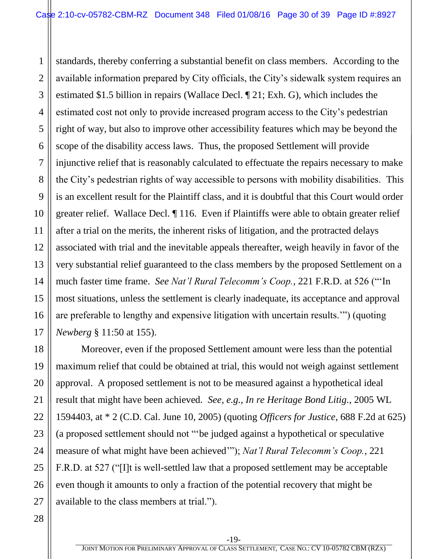1 2 3 4 5 6 7 8 9 10 11 12 13 14 15 16 17 standards, thereby conferring a substantial benefit on class members. According to the available information prepared by City officials, the City's sidewalk system requires an estimated \$1.5 billion in repairs (Wallace Decl. ¶ 21; Exh. G), which includes the estimated cost not only to provide increased program access to the City's pedestrian right of way, but also to improve other accessibility features which may be beyond the scope of the disability access laws. Thus, the proposed Settlement will provide injunctive relief that is reasonably calculated to effectuate the repairs necessary to make the City's pedestrian rights of way accessible to persons with mobility disabilities. This is an excellent result for the Plaintiff class, and it is doubtful that this Court would order greater relief. Wallace Decl. ¶ 116. Even if Plaintiffs were able to obtain greater relief after a trial on the merits, the inherent risks of litigation, and the protracted delays associated with trial and the inevitable appeals thereafter, weigh heavily in favor of the very substantial relief guaranteed to the class members by the proposed Settlement on a much faster time frame. *See Nat'l Rural Telecomm's Coop.*, 221 F.R.D. at 526 ("'In most situations, unless the settlement is clearly inadequate, its acceptance and approval are preferable to lengthy and expensive litigation with uncertain results.'") (quoting *Newberg* § 11:50 at 155).

Moreover, even if the proposed Settlement amount were less than the potential maximum relief that could be obtained at trial, this would not weigh against settlement approval. A proposed settlement is not to be measured against a hypothetical ideal result that might have been achieved. *See, e.g., In re Heritage Bond Litig.*, 2005 WL 1594403, at \* 2 (C.D. Cal. June 10, 2005) (quoting *Officers for Justice*, 688 F.2d at 625) (a proposed settlement should not "'be judged against a hypothetical or speculative measure of what might have been achieved'"); *Nat'l Rural Telecomm's Coop.*, 221 F.R.D. at 527 ("[I]t is well-settled law that a proposed settlement may be acceptable even though it amounts to only a fraction of the potential recovery that might be available to the class members at trial.").

18

19

20

21

22

23

24

25

26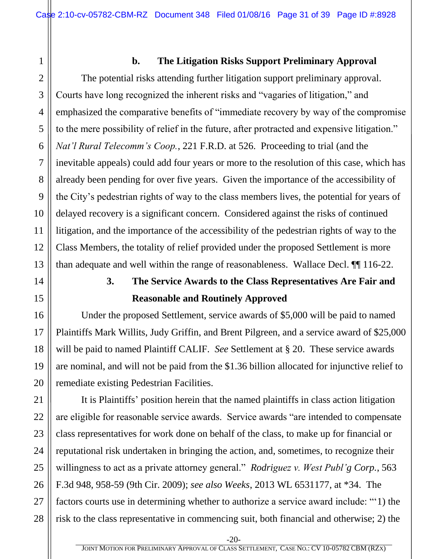<span id="page-30-0"></span>1

#### **b. The Litigation Risks Support Preliminary Approval**

The potential risks attending further litigation support preliminary approval. Courts have long recognized the inherent risks and "vagaries of litigation," and emphasized the comparative benefits of "immediate recovery by way of the compromise to the mere possibility of relief in the future, after protracted and expensive litigation." *Nat'l Rural Telecomm's Coop.*, 221 F.R.D. at 526.Proceeding to trial (and the inevitable appeals) could add four years or more to the resolution of this case, which has already been pending for over five years. Given the importance of the accessibility of the City's pedestrian rights of way to the class members lives, the potential for years of delayed recovery is a significant concern. Considered against the risks of continued litigation, and the importance of the accessibility of the pedestrian rights of way to the Class Members, the totality of relief provided under the proposed Settlement is more than adequate and well within the range of reasonableness. Wallace Decl. ¶¶ 116-22.

### **3. The Service Awards to the Class Representatives Are Fair and Reasonable and Routinely Approved**

<span id="page-30-1"></span>Under the proposed Settlement, service awards of \$5,000 will be paid to named Plaintiffs Mark Willits, Judy Griffin, and Brent Pilgreen, and a service award of \$25,000 will be paid to named Plaintiff CALIF. *See* Settlement at § 20. These service awards are nominal, and will not be paid from the \$1.36 billion allocated for injunctive relief to remediate existing Pedestrian Facilities.

It is Plaintiffs' position herein that the named plaintiffs in class action litigation are eligible for reasonable service awards. Service awards "are intended to compensate class representatives for work done on behalf of the class, to make up for financial or reputational risk undertaken in bringing the action, and, sometimes, to recognize their willingness to act as a private attorney general." *Rodriguez v. West Publ'g Corp.*, 563 F.3d 948, 958-59 (9th Cir. 2009); *see also Weeks*, 2013 WL 6531177, at \*34. The factors courts use in determining whether to authorize a service award include: "'1) the risk to the class representative in commencing suit, both financial and otherwise; 2) the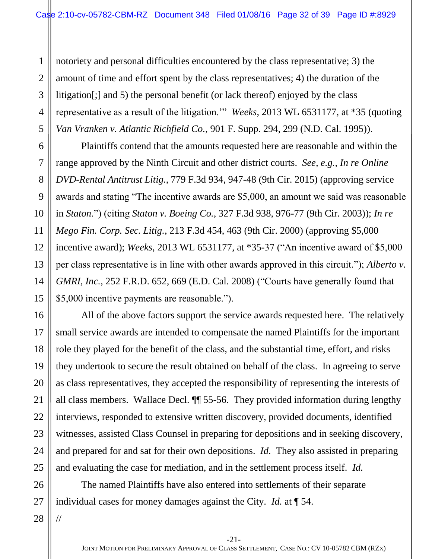3 4 5 notoriety and personal difficulties encountered by the class representative; 3) the amount of time and effort spent by the class representatives; 4) the duration of the litigation[;] and 5) the personal benefit (or lack thereof) enjoyed by the class representative as a result of the litigation.'" *Weeks*, 2013 WL 6531177, at \*35 (quoting *Van Vranken v. Atlantic Richfield Co.*, 901 F. Supp. 294, 299 (N.D. Cal. 1995)).

Plaintiffs contend that the amounts requested here are reasonable and within the range approved by the Ninth Circuit and other district courts. *See, e.g., In re Online DVD-Rental Antitrust Litig.*, 779 F.3d 934, 947-48 (9th Cir. 2015) (approving service awards and stating "The incentive awards are \$5,000, an amount we said was reasonable in *Staton*.") (citing *Staton v. Boeing Co.*, 327 F.3d 938, 976-77 (9th Cir. 2003)); *In re Mego Fin. Corp. Sec. Litig.*, 213 F.3d 454, 463 (9th Cir. 2000) (approving \$5,000 incentive award); *Weeks*, 2013 WL 6531177, at \*35-37 ("An incentive award of \$5,000 per class representative is in line with other awards approved in this circuit."); *Alberto v. GMRI, Inc.*, 252 F.R.D. 652, 669 (E.D. Cal. 2008) ("Courts have generally found that \$5,000 incentive payments are reasonable.").

All of the above factors support the service awards requested here. The relatively small service awards are intended to compensate the named Plaintiffs for the important role they played for the benefit of the class, and the substantial time, effort, and risks they undertook to secure the result obtained on behalf of the class. In agreeing to serve as class representatives, they accepted the responsibility of representing the interests of all class members. Wallace Decl. ¶¶ 55-56. They provided information during lengthy interviews, responded to extensive written discovery, provided documents, identified witnesses, assisted Class Counsel in preparing for depositions and in seeking discovery, and prepared for and sat for their own depositions. *Id.* They also assisted in preparing and evaluating the case for mediation, and in the settlement process itself. *Id.* 

26 27 The named Plaintiffs have also entered into settlements of their separate individual cases for money damages against the City. *Id.* at ¶ 54.

28

//

1

2

6

7

8

9

10

11

12

13

14

15

16

17

18

19

20

21

22

23

24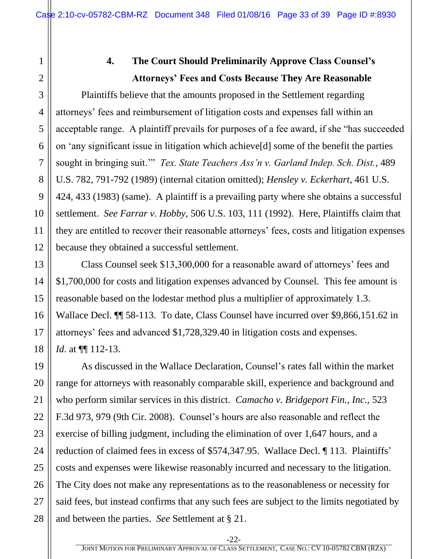17

18

19

20

21

22

23

24

25

26

27

28

#### **4. The Court Should Preliminarily Approve Class Counsel's Attorneys' Fees and Costs Because They Are Reasonable**

<span id="page-32-0"></span>Plaintiffs believe that the amounts proposed in the Settlement regarding attorneys' fees and reimbursement of litigation costs and expenses fall within an acceptable range. A plaintiff prevails for purposes of a fee award, if she "has succeeded on 'any significant issue in litigation which achieve[d] some of the benefit the parties sought in bringing suit.'" *Tex. State Teachers Ass'n v. Garland Indep. Sch. Dist.*, 489 U.S. 782, 791-792 (1989) (internal citation omitted); *Hensley v. Eckerhart*, 461 U.S. 424, 433 (1983) (same). A plaintiff is a prevailing party where she obtains a successful settlement. *See Farrar v. Hobby*, 506 U.S. 103, 111 (1992). Here, Plaintiffs claim that they are entitled to recover their reasonable attorneys' fees, costs and litigation expenses because they obtained a successful settlement.

Class Counsel seek \$13,300,000 for a reasonable award of attorneys' fees and \$1,700,000 for costs and litigation expenses advanced by Counsel. This fee amount is reasonable based on the lodestar method plus a multiplier of approximately 1.3. Wallace Decl. ¶¶ 58-113. To date, Class Counsel have incurred over \$9,866,151.62 in attorneys' fees and advanced \$1,728,329.40 in litigation costs and expenses. *Id.* at  $\P$ [112-13.

As discussed in the Wallace Declaration, Counsel's rates fall within the market range for attorneys with reasonably comparable skill, experience and background and who perform similar services in this district. *Camacho v. Bridgeport Fin., Inc.,* 523 F.3d 973, 979 (9th Cir. 2008). Counsel's hours are also reasonable and reflect the exercise of billing judgment, including the elimination of over 1,647 hours, and a reduction of claimed fees in excess of \$574,347.95. Wallace Decl. ¶ 113. Plaintiffs' costs and expenses were likewise reasonably incurred and necessary to the litigation. The City does not make any representations as to the reasonableness or necessity for said fees, but instead confirms that any such fees are subject to the limits negotiated by and between the parties. *See* Settlement at § 21.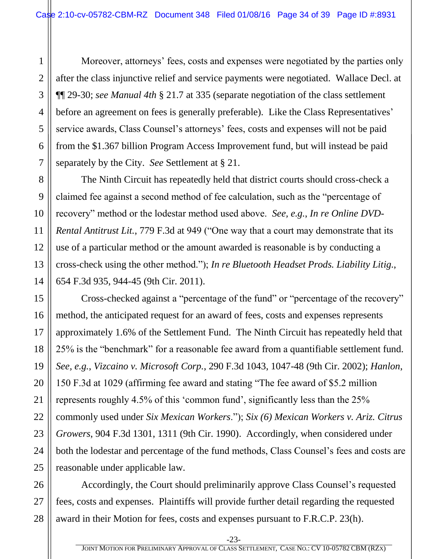Moreover, attorneys' fees, costs and expenses were negotiated by the parties only after the class injunctive relief and service payments were negotiated. Wallace Decl. at ¶¶ 29-30; *see Manual 4th* § 21.7 at 335 (separate negotiation of the class settlement before an agreement on fees is generally preferable). Like the Class Representatives' service awards, Class Counsel's attorneys' fees, costs and expenses will not be paid from the \$1.367 billion Program Access Improvement fund, but will instead be paid separately by the City. *See* Settlement at § 21.

The Ninth Circuit has repeatedly held that district courts should cross-check a claimed fee against a second method of fee calculation, such as the "percentage of recovery" method or the lodestar method used above. *See, e.g.*, *In re Online DVD-Rental Antitrust Lit.*, 779 F.3d at 949 ("One way that a court may demonstrate that its use of a particular method or the amount awarded is reasonable is by conducting a cross-check using the other method."); *In re Bluetooth Headset Prods. Liability Litig.*, 654 F.3d 935, 944-45 (9th Cir. 2011).

Cross-checked against a "percentage of the fund" or "percentage of the recovery" method, the anticipated request for an award of fees, costs and expenses represents approximately 1.6% of the Settlement Fund. The Ninth Circuit has repeatedly held that 25% is the "benchmark" for a reasonable fee award from a quantifiable settlement fund. *See, e.g.*, *Vizcaino v. Microsoft Corp.*, 290 F.3d 1043, 1047-48 (9th Cir. 2002); *Hanlon*, 150 F.3d at 1029 (affirming fee award and stating "The fee award of \$5.2 million represents roughly 4.5% of this 'common fund', significantly less than the 25% commonly used under *Six Mexican Workers*."); *Six (6) Mexican Workers v. Ariz. Citrus Growers*, 904 F.3d 1301, 1311 (9th Cir. 1990). Accordingly, when considered under both the lodestar and percentage of the fund methods, Class Counsel's fees and costs are reasonable under applicable law.

Accordingly, the Court should preliminarily approve Class Counsel's requested fees, costs and expenses. Plaintiffs will provide further detail regarding the requested award in their Motion for fees, costs and expenses pursuant to F.R.C.P. 23(h).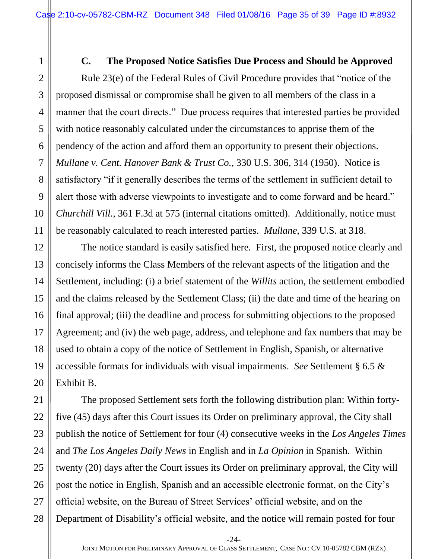<span id="page-34-0"></span>**C. The Proposed Notice Satisfies Due Process and Should be Approved**  Rule 23(e) of the Federal Rules of Civil Procedure provides that "notice of the proposed dismissal or compromise shall be given to all members of the class in a manner that the court directs." Due process requires that interested parties be provided with notice reasonably calculated under the circumstances to apprise them of the pendency of the action and afford them an opportunity to present their objections. *Mullane v. Cent. Hanover Bank & Trust Co.*, 330 U.S. 306, 314 (1950). Notice is satisfactory "if it generally describes the terms of the settlement in sufficient detail to alert those with adverse viewpoints to investigate and to come forward and be heard." *Churchill Vill.*, 361 F.3d at 575 (internal citations omitted). Additionally, notice must be reasonably calculated to reach interested parties. *Mullane*, 339 U.S. at 318.

The notice standard is easily satisfied here. First, the proposed notice clearly and concisely informs the Class Members of the relevant aspects of the litigation and the Settlement, including: (i) a brief statement of the *Willits* action, the settlement embodied and the claims released by the Settlement Class; (ii) the date and time of the hearing on final approval; (iii) the deadline and process for submitting objections to the proposed Agreement; and (iv) the web page, address, and telephone and fax numbers that may be used to obtain a copy of the notice of Settlement in English, Spanish, or alternative accessible formats for individuals with visual impairments. *See* Settlement § 6.5 & Exhibit B.

The proposed Settlement sets forth the following distribution plan: Within fortyfive (45) days after this Court issues its Order on preliminary approval, the City shall publish the notice of Settlement for four (4) consecutive weeks in the *Los Angeles Times* and *The Los Angeles Daily News* in English and in *La Opinion* in Spanish. Within twenty (20) days after the Court issues its Order on preliminary approval, the City will post the notice in English, Spanish and an accessible electronic format, on the City's official website, on the Bureau of Street Services' official website, and on the Department of Disability's official website, and the notice will remain posted for four

-24-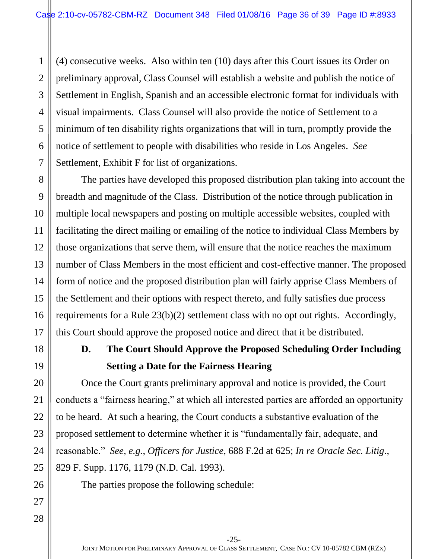2 3 4 5 6 7 (4) consecutive weeks. Also within ten (10) days after this Court issues its Order on preliminary approval, Class Counsel will establish a website and publish the notice of Settlement in English, Spanish and an accessible electronic format for individuals with visual impairments. Class Counsel will also provide the notice of Settlement to a minimum of ten disability rights organizations that will in turn, promptly provide the notice of settlement to people with disabilities who reside in Los Angeles. *See*  Settlement, Exhibit F for list of organizations.

The parties have developed this proposed distribution plan taking into account the breadth and magnitude of the Class. Distribution of the notice through publication in multiple local newspapers and posting on multiple accessible websites, coupled with facilitating the direct mailing or emailing of the notice to individual Class Members by those organizations that serve them, will ensure that the notice reaches the maximum number of Class Members in the most efficient and cost-effective manner. The proposed form of notice and the proposed distribution plan will fairly apprise Class Members of the Settlement and their options with respect thereto, and fully satisfies due process requirements for a Rule 23(b)(2) settlement class with no opt out rights. Accordingly, this Court should approve the proposed notice and direct that it be distributed.

<span id="page-35-0"></span>

1

8

9

10

11

12

13

14

15

16

17

18

19

20

21

22

23

24

25

26

27

#### **D. The Court Should Approve the Proposed Scheduling Order Including Setting a Date for the Fairness Hearing**

Once the Court grants preliminary approval and notice is provided, the Court conducts a "fairness hearing," at which all interested parties are afforded an opportunity to be heard. At such a hearing, the Court conducts a substantive evaluation of the proposed settlement to determine whether it is "fundamentally fair, adequate, and reasonable." *See, e.g.*, *Officers for Justice*, 688 F.2d at 625; *In re Oracle Sec. Litig*., 829 F. Supp. 1176, 1179 (N.D. Cal. 1993).

The parties propose the following schedule: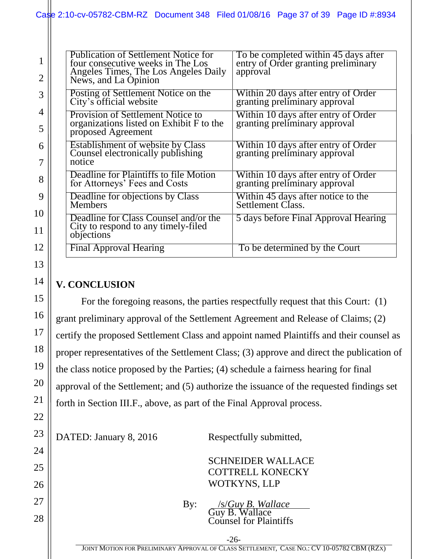| $\mathbf{1}$          | <b>Publication of Settlement Notice for</b><br>four consecutive weeks in The Los<br>Angeles Times, The Los Angeles Daily | To be completed within 45 days after<br>entry of Order granting preliminary<br>approval |
|-----------------------|--------------------------------------------------------------------------------------------------------------------------|-----------------------------------------------------------------------------------------|
| $\overline{2}$        | News, and La Opinion                                                                                                     |                                                                                         |
| 3                     | Posting of Settlement Notice on the<br>City's official website                                                           | Within 20 days after entry of Order<br>granting preliminary approval                    |
| 4                     | <b>Provision of Settlement Notice to</b><br>organizations listed on Exhibit F to the                                     | Within 10 days after entry of Order<br>granting preliminary approval                    |
| 5                     | proposed Agreement                                                                                                       |                                                                                         |
| 6<br>7                | <b>Establishment of website by Class</b><br>Counsel electronically publishing<br>notice                                  | Within 10 days after entry of Order<br>granting preliminary approval                    |
| 8                     | Deadline for Plaintiffs to file Motion<br>for Attorneys' Fees and Costs                                                  | Within 10 days after entry of Order<br>granting preliminary approval                    |
| 9                     | Deadline for objections by Class<br><b>Members</b>                                                                       | Within 45 days after notice to the<br>Settlement Class.                                 |
| $\boldsymbol{0}$<br>1 | Deadline for Class Counsel and/or the<br>City to respond to any timely-filed                                             | 5 days before Final Approval Hearing                                                    |
|                       | objections                                                                                                               |                                                                                         |
| $\overline{2}$        | Final Approval Hearing                                                                                                   | To be determined by the Court                                                           |

#### <span id="page-36-0"></span>**V. CONCLUSION**

For the foregoing reasons, the parties respectfully request that this Court: (1) grant preliminary approval of the Settlement Agreement and Release of Claims; (2) certify the proposed Settlement Class and appoint named Plaintiffs and their counsel as proper representatives of the Settlement Class; (3) approve and direct the publication of the class notice proposed by the Parties; (4) schedule a fairness hearing for final approval of the Settlement; and (5) authorize the issuance of the requested findings set forth in Section III.F., above, as part of the Final Approval process.

DATED: January 8, 2016 Respectfully submitted,

SCHNEIDER WALLACE COTTRELL KONECKY WOTKYNS, LLP

By: /s/*Guy B. Wallace* Guy B. Wallace Counsel for Plaintiffs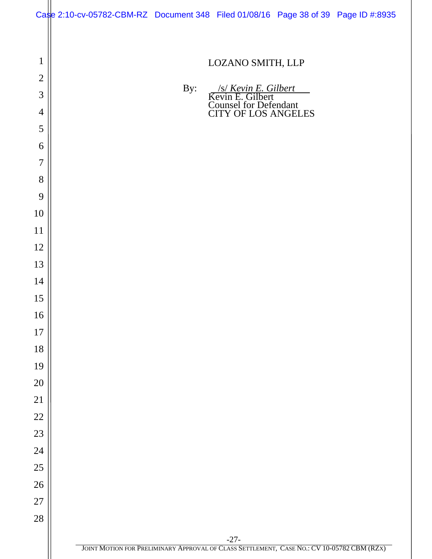